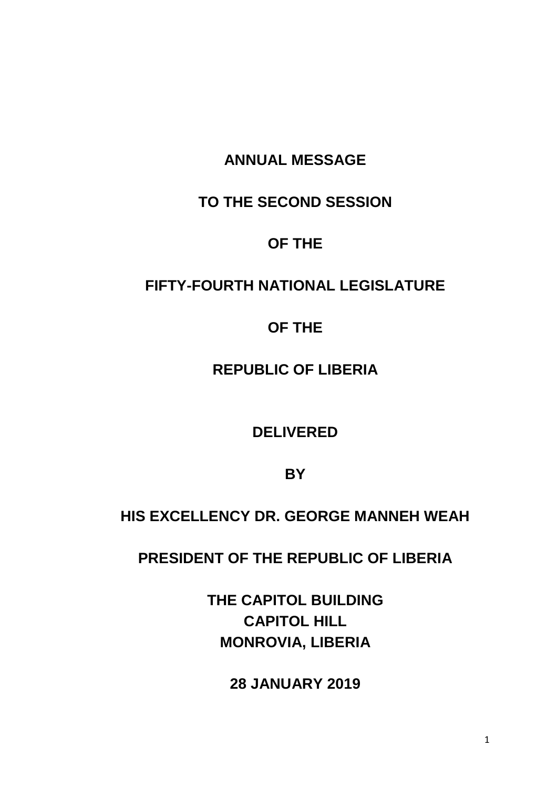# **ANNUAL MESSAGE**

# **TO THE SECOND SESSION**

# **OF THE**

# **FIFTY-FOURTH NATIONAL LEGISLATURE**

# **OF THE**

# **REPUBLIC OF LIBERIA**

# **DELIVERED**

### **BY**

# **HIS EXCELLENCY DR. GEORGE MANNEH WEAH**

# **PRESIDENT OF THE REPUBLIC OF LIBERIA**

**THE CAPITOL BUILDING CAPITOL HILL MONROVIA, LIBERIA**

**28 JANUARY 2019**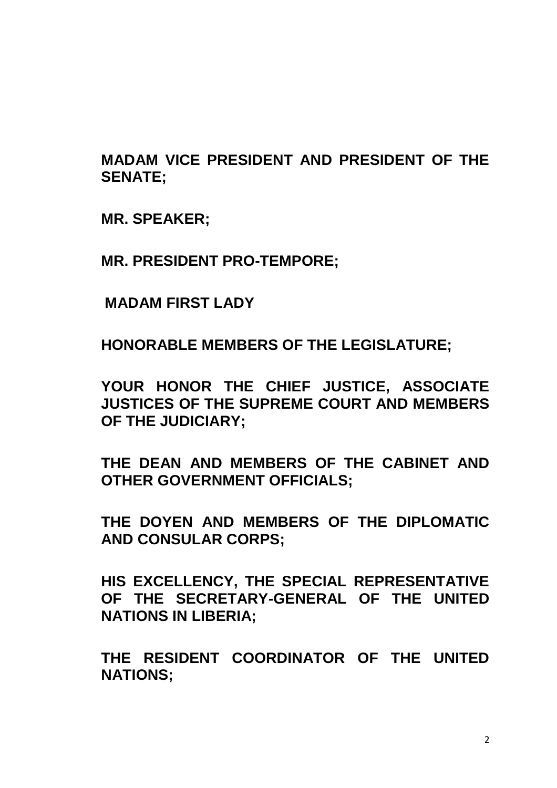**MADAM VICE PRESIDENT AND PRESIDENT OF THE SENATE;** 

**MR. SPEAKER;** 

**MR. PRESIDENT PRO-TEMPORE;** 

 **MADAM FIRST LADY**

**HONORABLE MEMBERS OF THE LEGISLATURE;** 

**YOUR HONOR THE CHIEF JUSTICE, ASSOCIATE JUSTICES OF THE SUPREME COURT AND MEMBERS OF THE JUDICIARY;** 

**THE DEAN AND MEMBERS OF THE CABINET AND OTHER GOVERNMENT OFFICIALS;** 

**THE DOYEN AND MEMBERS OF THE DIPLOMATIC AND CONSULAR CORPS;** 

**HIS EXCELLENCY, THE SPECIAL REPRESENTATIVE OF THE SECRETARY-GENERAL OF THE UNITED NATIONS IN LIBERIA;** 

**THE RESIDENT COORDINATOR OF THE UNITED NATIONS;**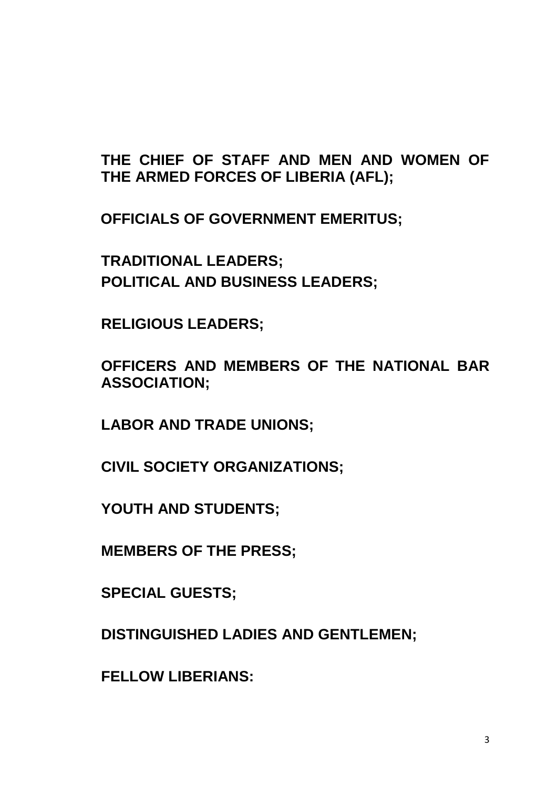# **THE CHIEF OF STAFF AND MEN AND WOMEN OF THE ARMED FORCES OF LIBERIA (AFL);**

 **OFFICIALS OF GOVERNMENT EMERITUS;** 

**TRADITIONAL LEADERS; POLITICAL AND BUSINESS LEADERS;** 

**RELIGIOUS LEADERS;** 

**OFFICERS AND MEMBERS OF THE NATIONAL BAR ASSOCIATION;** 

**LABOR AND TRADE UNIONS;** 

**CIVIL SOCIETY ORGANIZATIONS;** 

**YOUTH AND STUDENTS;**

**MEMBERS OF THE PRESS;** 

**SPECIAL GUESTS;** 

**DISTINGUISHED LADIES AND GENTLEMEN;**

**FELLOW LIBERIANS:**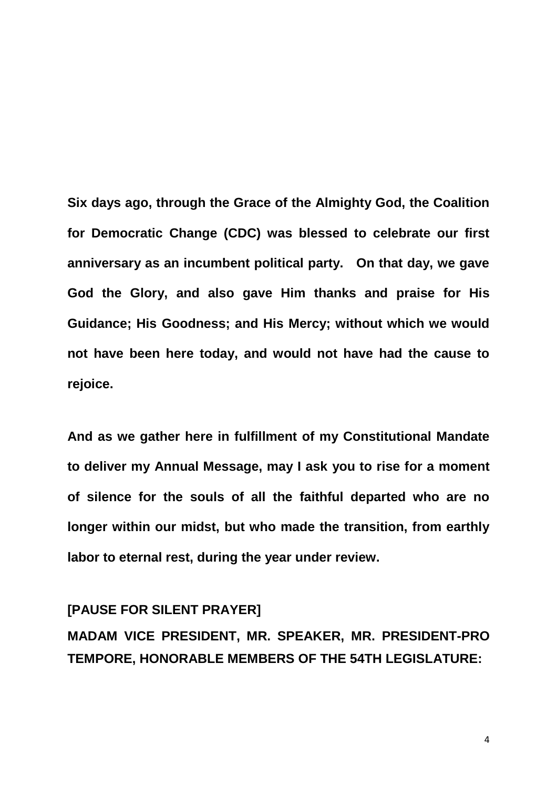**Six days ago, through the Grace of the Almighty God, the Coalition for Democratic Change (CDC) was blessed to celebrate our first anniversary as an incumbent political party. On that day, we gave God the Glory, and also gave Him thanks and praise for His Guidance; His Goodness; and His Mercy; without which we would not have been here today, and would not have had the cause to rejoice.** 

**And as we gather here in fulfillment of my Constitutional Mandate to deliver my Annual Message, may I ask you to rise for a moment of silence for the souls of all the faithful departed who are no longer within our midst, but who made the transition, from earthly labor to eternal rest, during the year under review.** 

#### **[PAUSE FOR SILENT PRAYER]**

**MADAM VICE PRESIDENT, MR. SPEAKER, MR. PRESIDENT-PRO TEMPORE, HONORABLE MEMBERS OF THE 54TH LEGISLATURE:**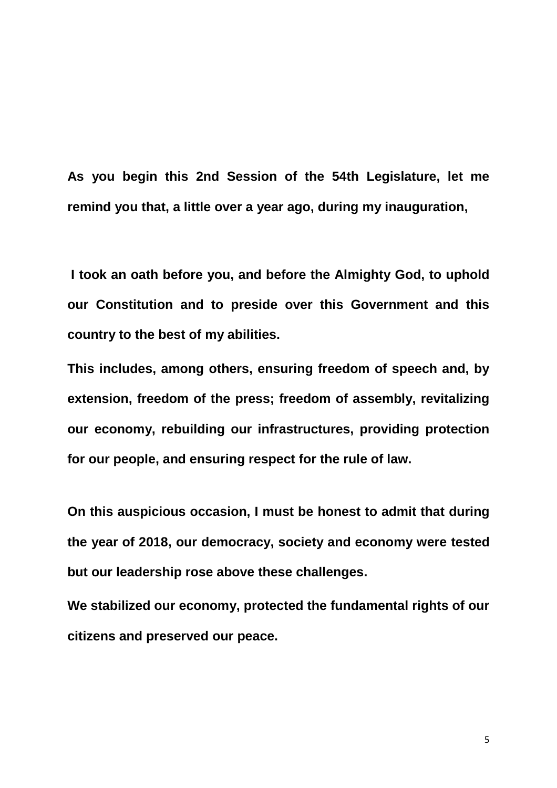**As you begin this 2nd Session of the 54th Legislature, let me remind you that, a little over a year ago, during my inauguration,**

**I took an oath before you, and before the Almighty God, to uphold our Constitution and to preside over this Government and this country to the best of my abilities.** 

**This includes, among others, ensuring freedom of speech and, by extension, freedom of the press; freedom of assembly, revitalizing our economy, rebuilding our infrastructures, providing protection for our people, and ensuring respect for the rule of law.**

**On this auspicious occasion, I must be honest to admit that during the year of 2018, our democracy, society and economy were tested but our leadership rose above these challenges.** 

**We stabilized our economy, protected the fundamental rights of our citizens and preserved our peace.**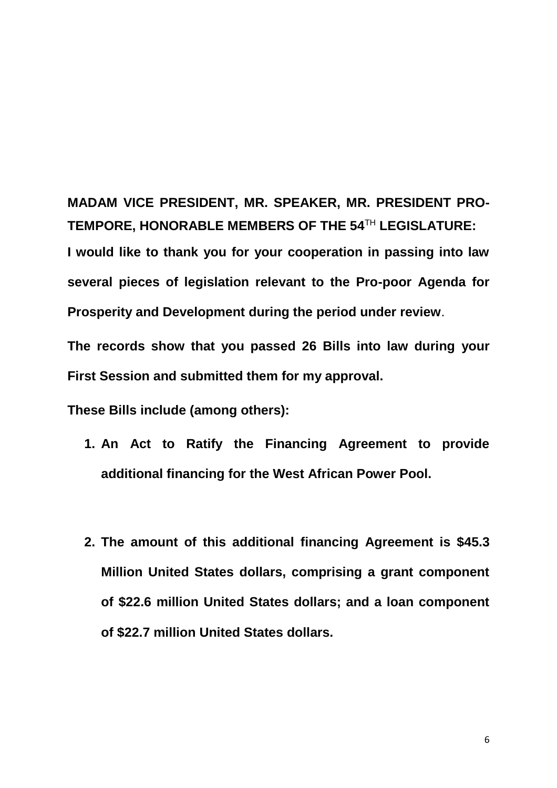**MADAM VICE PRESIDENT, MR. SPEAKER, MR. PRESIDENT PRO-TEMPORE, HONORABLE MEMBERS OF THE 54**TH **LEGISLATURE: I would like to thank you for your cooperation in passing into law several pieces of legislation relevant to the Pro-poor Agenda for Prosperity and Development during the period under review**.

**The records show that you passed 26 Bills into law during your First Session and submitted them for my approval.** 

**These Bills include (among others):**

- **1. An Act to Ratify the Financing Agreement to provide additional financing for the West African Power Pool.**
- **2. The amount of this additional financing Agreement is \$45.3 Million United States dollars, comprising a grant component of \$22.6 million United States dollars; and a loan component of \$22.7 million United States dollars.**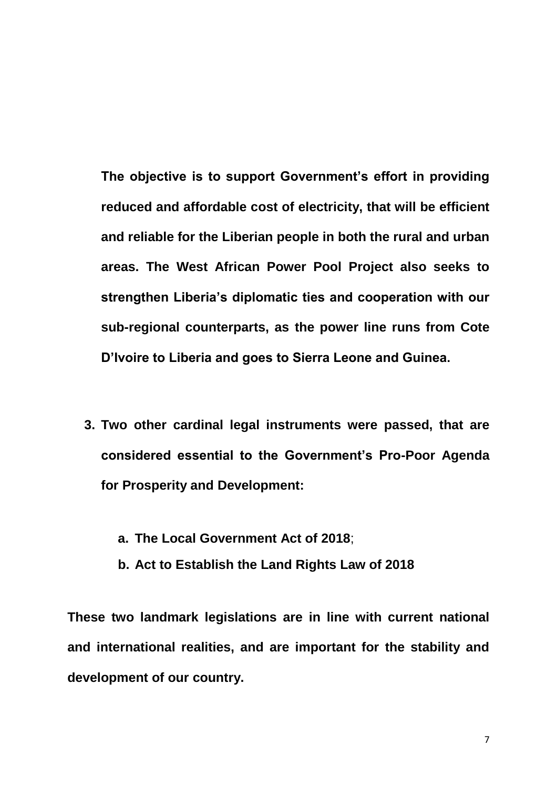**The objective is to support Government's effort in providing reduced and affordable cost of electricity, that will be efficient and reliable for the Liberian people in both the rural and urban areas. The West African Power Pool Project also seeks to strengthen Liberia's diplomatic ties and cooperation with our sub-regional counterparts, as the power line runs from Cote D'Ivoire to Liberia and goes to Sierra Leone and Guinea.**

- **3. Two other cardinal legal instruments were passed, that are considered essential to the Government's Pro-Poor Agenda for Prosperity and Development:**
	- **a. The Local Government Act of 2018**;
	- **b. Act to Establish the Land Rights Law of 2018**

**These two landmark legislations are in line with current national and international realities, and are important for the stability and development of our country.**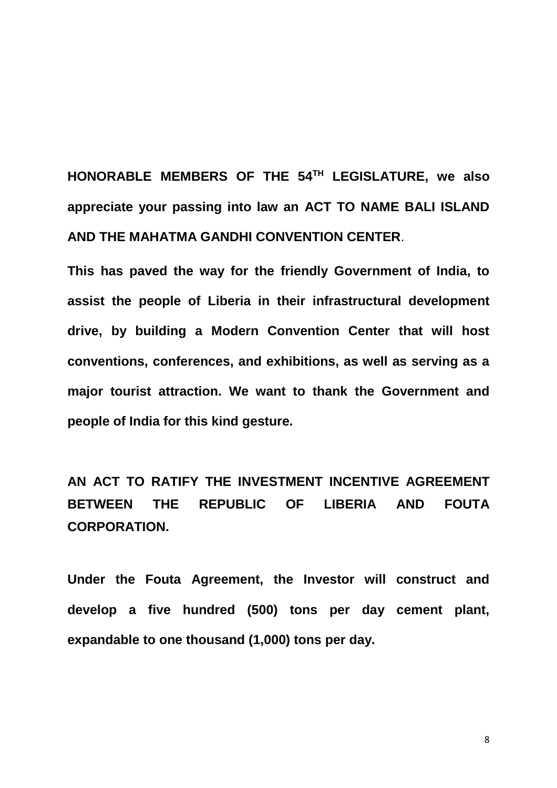**HONORABLE MEMBERS OF THE 54TH LEGISLATURE, we also appreciate your passing into law an ACT TO NAME BALI ISLAND AND THE MAHATMA GANDHI CONVENTION CENTER**.

**This has paved the way for the friendly Government of India, to assist the people of Liberia in their infrastructural development drive, by building a Modern Convention Center that will host conventions, conferences, and exhibitions, as well as serving as a major tourist attraction. We want to thank the Government and people of India for this kind gesture.**

**AN ACT TO RATIFY THE INVESTMENT INCENTIVE AGREEMENT BETWEEN THE REPUBLIC OF LIBERIA AND FOUTA CORPORATION.**

**Under the Fouta Agreement, the Investor will construct and develop a five hundred (500) tons per day cement plant, expandable to one thousand (1,000) tons per day.**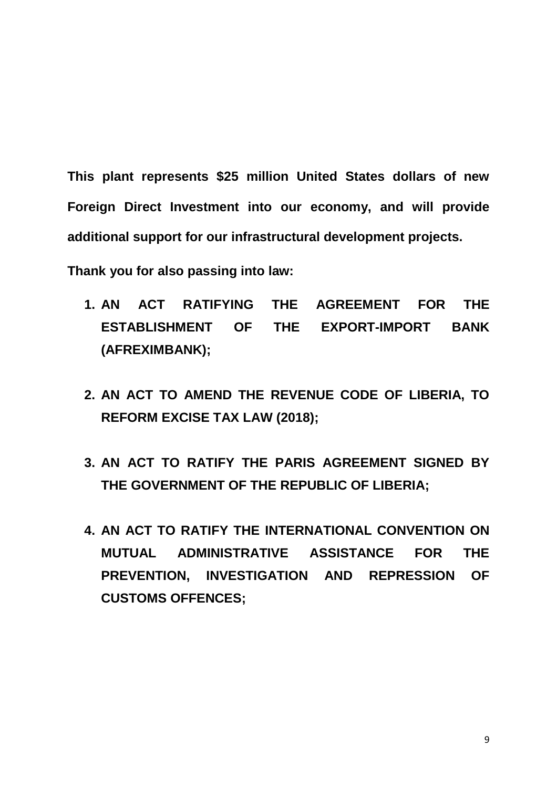**This plant represents \$25 million United States dollars of new Foreign Direct Investment into our economy, and will provide additional support for our infrastructural development projects.** 

**Thank you for also passing into law:** 

- **1. AN ACT RATIFYING THE AGREEMENT FOR THE ESTABLISHMENT OF THE EXPORT-IMPORT BANK (AFREXIMBANK);**
- **2. AN ACT TO AMEND THE REVENUE CODE OF LIBERIA, TO REFORM EXCISE TAX LAW (2018);**
- **3. AN ACT TO RATIFY THE PARIS AGREEMENT SIGNED BY THE GOVERNMENT OF THE REPUBLIC OF LIBERIA;**
- **4. AN ACT TO RATIFY THE INTERNATIONAL CONVENTION ON MUTUAL ADMINISTRATIVE ASSISTANCE FOR THE PREVENTION, INVESTIGATION AND REPRESSION OF CUSTOMS OFFENCES;**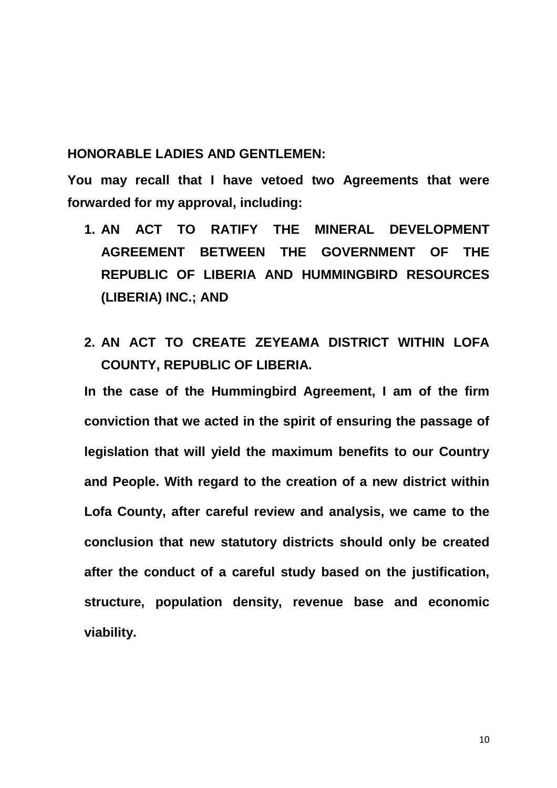#### **HONORABLE LADIES AND GENTLEMEN:**

**You may recall that I have vetoed two Agreements that were forwarded for my approval, including:** 

- **1. AN ACT TO RATIFY THE MINERAL DEVELOPMENT AGREEMENT BETWEEN THE GOVERNMENT OF THE REPUBLIC OF LIBERIA AND HUMMINGBIRD RESOURCES (LIBERIA) INC.; AND**
- **2. AN ACT TO CREATE ZEYEAMA DISTRICT WITHIN LOFA COUNTY, REPUBLIC OF LIBERIA.**

**In the case of the Hummingbird Agreement, I am of the firm conviction that we acted in the spirit of ensuring the passage of legislation that will yield the maximum benefits to our Country and People. With regard to the creation of a new district within Lofa County, after careful review and analysis, we came to the conclusion that new statutory districts should only be created after the conduct of a careful study based on the justification, structure, population density, revenue base and economic viability.**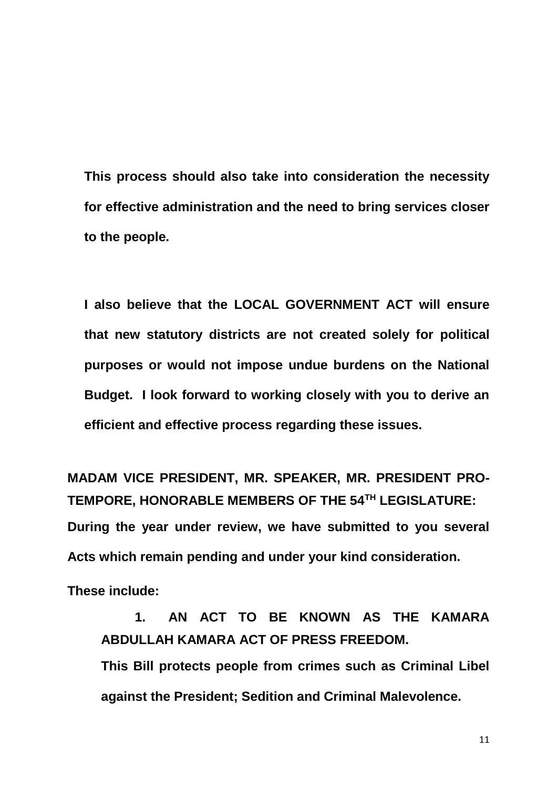**This process should also take into consideration the necessity for effective administration and the need to bring services closer to the people.** 

**I also believe that the LOCAL GOVERNMENT ACT will ensure that new statutory districts are not created solely for political purposes or would not impose undue burdens on the National Budget. I look forward to working closely with you to derive an efficient and effective process regarding these issues.**

**MADAM VICE PRESIDENT, MR. SPEAKER, MR. PRESIDENT PRO-TEMPORE, HONORABLE MEMBERS OF THE 54TH LEGISLATURE: During the year under review, we have submitted to you several Acts which remain pending and under your kind consideration.** 

**These include:**

**1. AN ACT TO BE KNOWN AS THE KAMARA ABDULLAH KAMARA ACT OF PRESS FREEDOM.**

**This Bill protects people from crimes such as Criminal Libel against the President; Sedition and Criminal Malevolence.**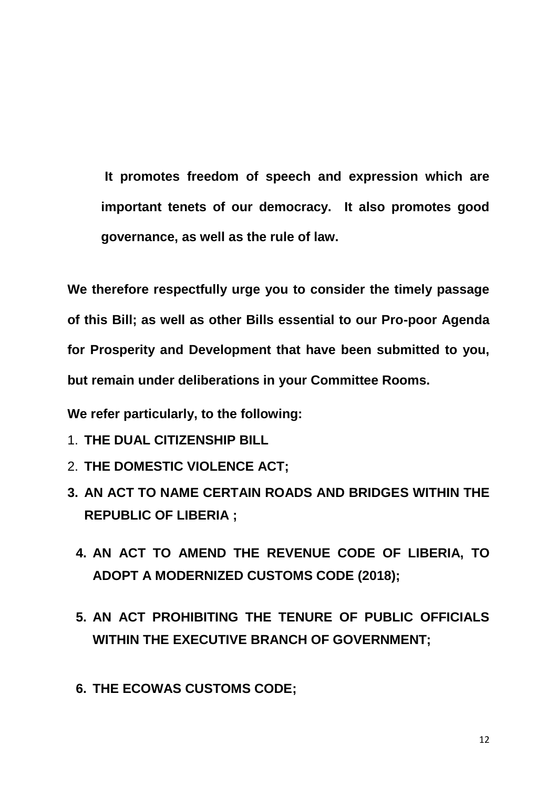**It promotes freedom of speech and expression which are important tenets of our democracy. It also promotes good governance, as well as the rule of law.** 

**We therefore respectfully urge you to consider the timely passage of this Bill; as well as other Bills essential to our Pro-poor Agenda for Prosperity and Development that have been submitted to you, but remain under deliberations in your Committee Rooms.**

**We refer particularly, to the following:** 

- 1. **THE DUAL CITIZENSHIP BILL**
- 2. **THE DOMESTIC VIOLENCE ACT;**
- **3. AN ACT TO NAME CERTAIN ROADS AND BRIDGES WITHIN THE REPUBLIC OF LIBERIA ;**
	- **4. AN ACT TO AMEND THE REVENUE CODE OF LIBERIA, TO ADOPT A MODERNIZED CUSTOMS CODE (2018);**
	- **5. AN ACT PROHIBITING THE TENURE OF PUBLIC OFFICIALS WITHIN THE EXECUTIVE BRANCH OF GOVERNMENT;**
	- **6. THE ECOWAS CUSTOMS CODE;**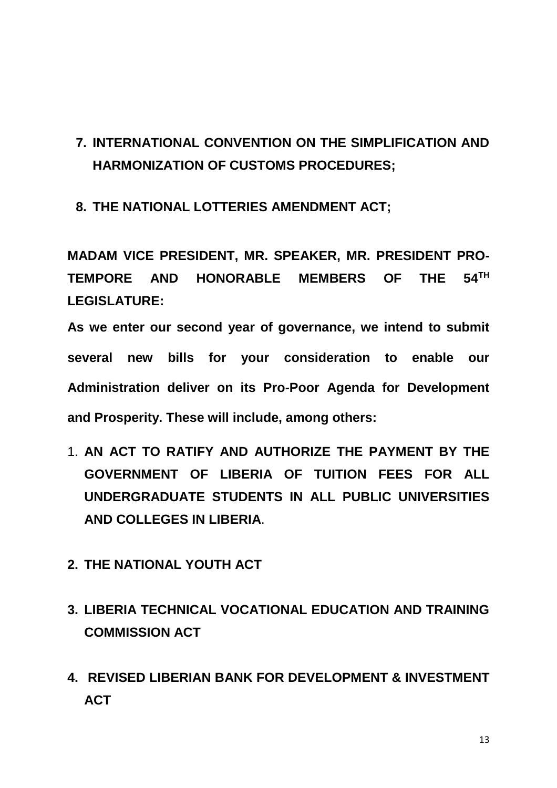# **7. INTERNATIONAL CONVENTION ON THE SIMPLIFICATION AND HARMONIZATION OF CUSTOMS PROCEDURES;**

**8. THE NATIONAL LOTTERIES AMENDMENT ACT;**

**MADAM VICE PRESIDENT, MR. SPEAKER, MR. PRESIDENT PRO-TEMPORE AND HONORABLE MEMBERS OF THE 54TH LEGISLATURE:**

**As we enter our second year of governance, we intend to submit several new bills for your consideration to enable our Administration deliver on its Pro-Poor Agenda for Development and Prosperity. These will include, among others:**

- 1. **AN ACT TO RATIFY AND AUTHORIZE THE PAYMENT BY THE GOVERNMENT OF LIBERIA OF TUITION FEES FOR ALL UNDERGRADUATE STUDENTS IN ALL PUBLIC UNIVERSITIES AND COLLEGES IN LIBERIA**.
- **2. THE NATIONAL YOUTH ACT**
- **3. LIBERIA TECHNICAL VOCATIONAL EDUCATION AND TRAINING COMMISSION ACT**
- **4. REVISED LIBERIAN BANK FOR DEVELOPMENT & INVESTMENT ACT**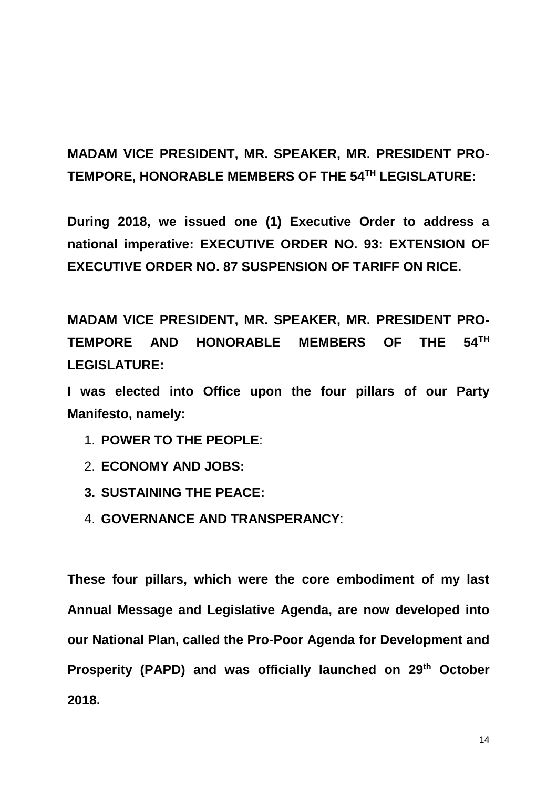**MADAM VICE PRESIDENT, MR. SPEAKER, MR. PRESIDENT PRO-TEMPORE, HONORABLE MEMBERS OF THE 54TH LEGISLATURE:**

**During 2018, we issued one (1) Executive Order to address a national imperative: EXECUTIVE ORDER NO. 93: [EXTENSION OF](https://emansion.gov.lr/doc/Executive_11.pdf)  [EXECUTIVE ORDER NO. 87 SUSPENSION OF TARIFF ON RICE.](https://emansion.gov.lr/doc/Executive_11.pdf)**

**MADAM VICE PRESIDENT, MR. SPEAKER, MR. PRESIDENT PRO-TEMPORE AND HONORABLE MEMBERS OF THE 54TH LEGISLATURE:**

**I was elected into Office upon the four pillars of our Party Manifesto, namely:**

- 1. **POWER TO THE PEOPLE**:
- 2. **ECONOMY AND JOBS:**
- **3. SUSTAINING THE PEACE:**
- 4. **GOVERNANCE AND TRANSPERANCY**:

**These four pillars, which were the core embodiment of my last Annual Message and Legislative Agenda, are now developed into our National Plan, called the Pro-Poor Agenda for Development and Prosperity (PAPD) and was officially launched on 29th October 2018.**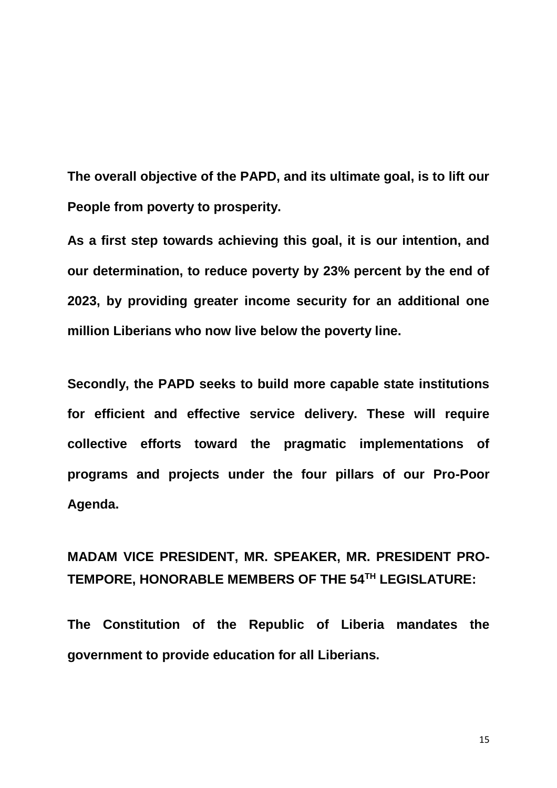**The overall objective of the PAPD, and its ultimate goal, is to lift our People from poverty to prosperity.** 

**As a first step towards achieving this goal, it is our intention, and our determination, to reduce poverty by 23% percent by the end of 2023, by providing greater income security for an additional one million Liberians who now live below the poverty line.**

**Secondly, the PAPD seeks to build more capable state institutions for efficient and effective service delivery. These will require collective efforts toward the pragmatic implementations of programs and projects under the four pillars of our Pro-Poor Agenda.**

# **MADAM VICE PRESIDENT, MR. SPEAKER, MR. PRESIDENT PRO-TEMPORE, HONORABLE MEMBERS OF THE 54TH LEGISLATURE:**

**The Constitution of the Republic of Liberia mandates the government to provide education for all Liberians.**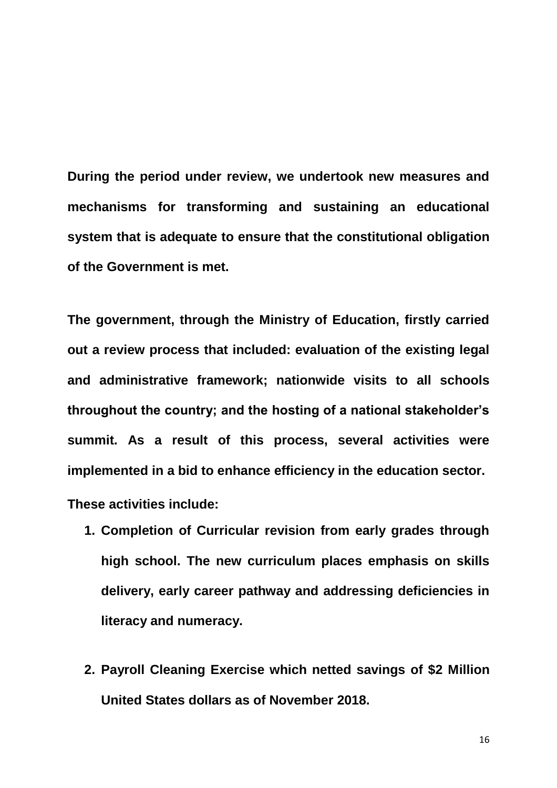**During the period under review, we undertook new measures and mechanisms for transforming and sustaining an educational system that is adequate to ensure that the constitutional obligation of the Government is met.**

**The government, through the Ministry of Education, firstly carried out a review process that included: evaluation of the existing legal and administrative framework; nationwide visits to all schools throughout the country; and the hosting of a national stakeholder's summit. As a result of this process, several activities were implemented in a bid to enhance efficiency in the education sector. These activities include:**

- **1. Completion of Curricular revision from early grades through high school. The new curriculum places emphasis on skills delivery, early career pathway and addressing deficiencies in literacy and numeracy.**
- **2. Payroll Cleaning Exercise which netted savings of \$2 Million United States dollars as of November 2018.**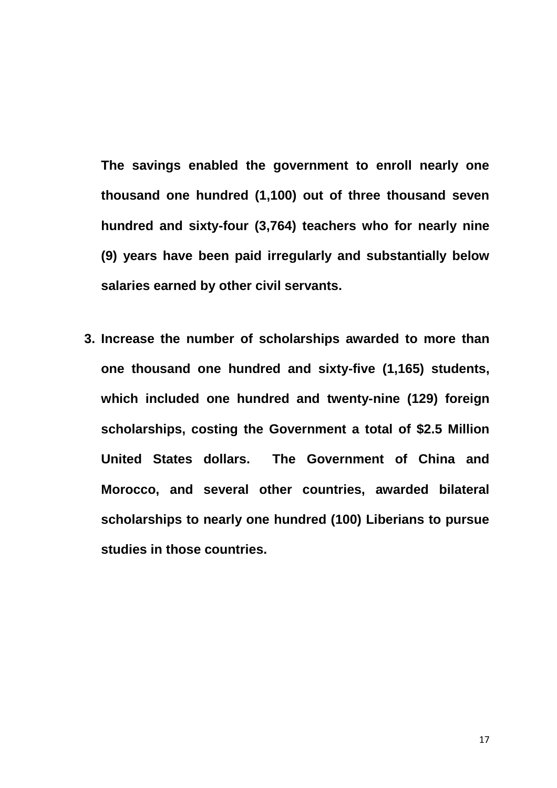**The savings enabled the government to enroll nearly one thousand one hundred (1,100) out of three thousand seven hundred and sixty-four (3,764) teachers who for nearly nine (9) years have been paid irregularly and substantially below salaries earned by other civil servants.** 

**3. Increase the number of scholarships awarded to more than one thousand one hundred and sixty-five (1,165) students, which included one hundred and twenty-nine (129) foreign scholarships, costing the Government a total of \$2.5 Million United States dollars. The Government of China and Morocco, and several other countries, awarded bilateral scholarships to nearly one hundred (100) Liberians to pursue studies in those countries.**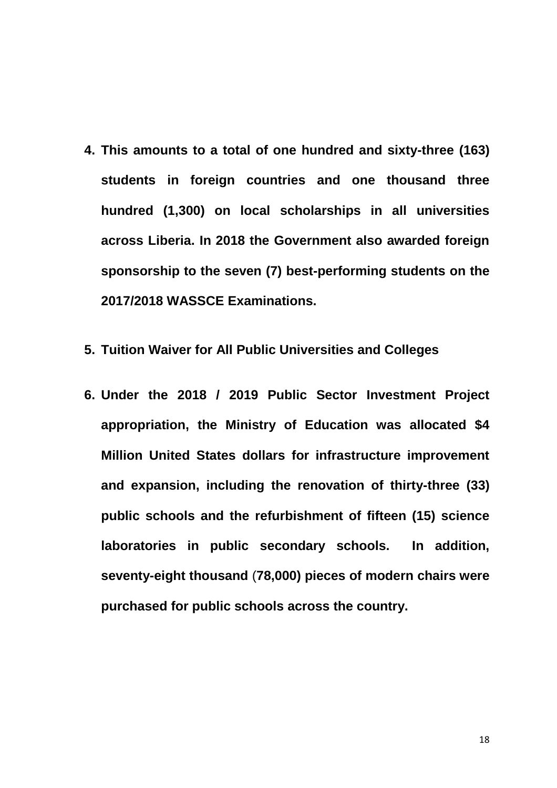- **4. This amounts to a total of one hundred and sixty-three (163) students in foreign countries and one thousand three hundred (1,300) on local scholarships in all universities across Liberia. In 2018 the Government also awarded foreign sponsorship to the seven (7) best-performing students on the 2017/2018 WASSCE Examinations.**
- **5. Tuition Waiver for All Public Universities and Colleges**
- **6. Under the 2018 / 2019 Public Sector Investment Project appropriation, the Ministry of Education was allocated \$4 Million United States dollars for infrastructure improvement and expansion, including the renovation of thirty-three (33) public schools and the refurbishment of fifteen (15) science laboratories in public secondary schools. In addition, seventy-eight thousand** (**78,000) pieces of modern chairs were purchased for public schools across the country.**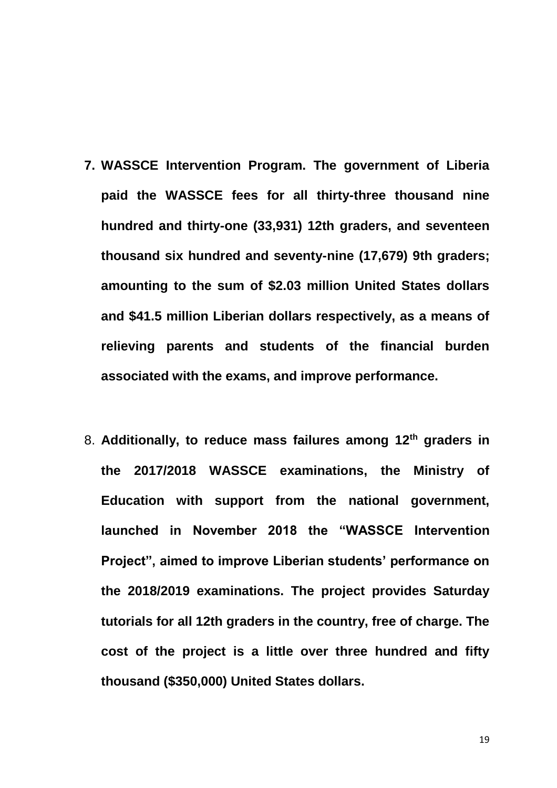- **7. WASSCE Intervention Program. The government of Liberia paid the WASSCE fees for all thirty-three thousand nine hundred and thirty-one (33,931) 12th graders, and seventeen thousand six hundred and seventy-nine (17,679) 9th graders; amounting to the sum of \$2.03 million United States dollars and \$41.5 million Liberian dollars respectively, as a means of relieving parents and students of the financial burden associated with the exams, and improve performance.**
- 8. **Additionally, to reduce mass failures among 12th graders in the 2017/2018 WASSCE examinations, the Ministry of Education with support from the national government, launched in November 2018 the "WASSCE Intervention Project", aimed to improve Liberian students' performance on the 2018/2019 examinations. The project provides Saturday tutorials for all 12th graders in the country, free of charge. The cost of the project is a little over three hundred and fifty thousand (\$350,000) United States dollars.**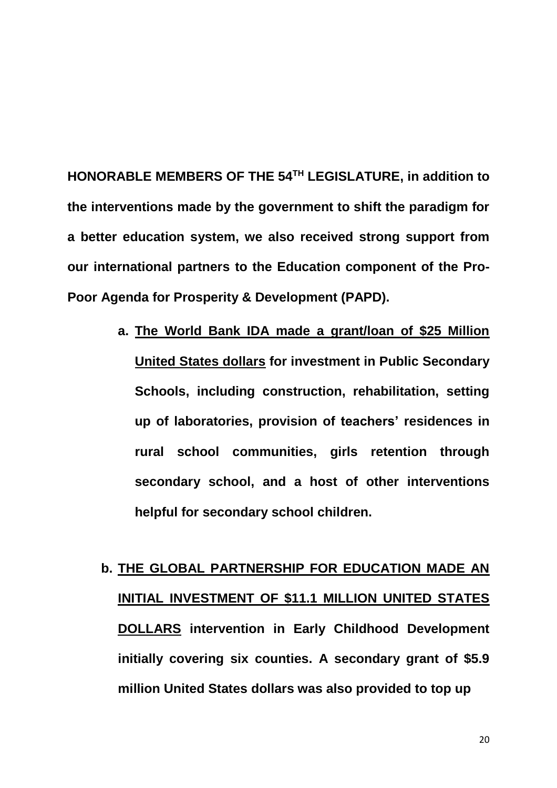**HONORABLE MEMBERS OF THE 54TH LEGISLATURE, in addition to the interventions made by the government to shift the paradigm for a better education system, we also received strong support from our international partners to the Education component of the Pro-Poor Agenda for Prosperity & Development (PAPD).**

> **a. The World Bank IDA made a grant/loan of \$25 Million United States dollars for investment in Public Secondary Schools, including construction, rehabilitation, setting up of laboratories, provision of teachers' residences in rural school communities, girls retention through secondary school, and a host of other interventions helpful for secondary school children.**

# **b. THE GLOBAL PARTNERSHIP FOR EDUCATION MADE AN INITIAL INVESTMENT OF \$11.1 MILLION UNITED STATES DOLLARS intervention in Early Childhood Development initially covering six counties. A secondary grant of \$5.9 million United States dollars was also provided to top up**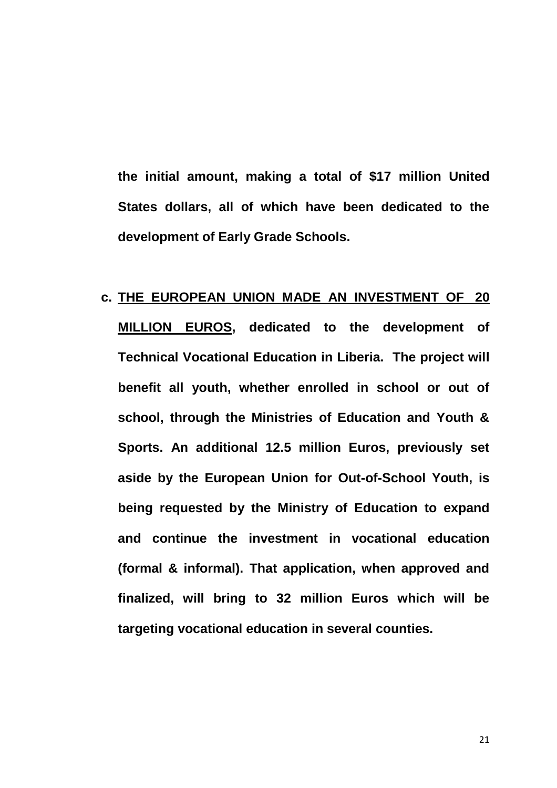**the initial amount, making a total of \$17 million United States dollars, all of which have been dedicated to the development of Early Grade Schools.**

# **c. THE EUROPEAN UNION MADE AN INVESTMENT OF 20**

**MILLION EUROS, dedicated to the development of Technical Vocational Education in Liberia. The project will benefit all youth, whether enrolled in school or out of school, through the Ministries of Education and Youth & Sports. An additional 12.5 million Euros, previously set aside by the European Union for Out-of-School Youth, is being requested by the Ministry of Education to expand and continue the investment in vocational education (formal & informal). That application, when approved and finalized, will bring to 32 million Euros which will be targeting vocational education in several counties.**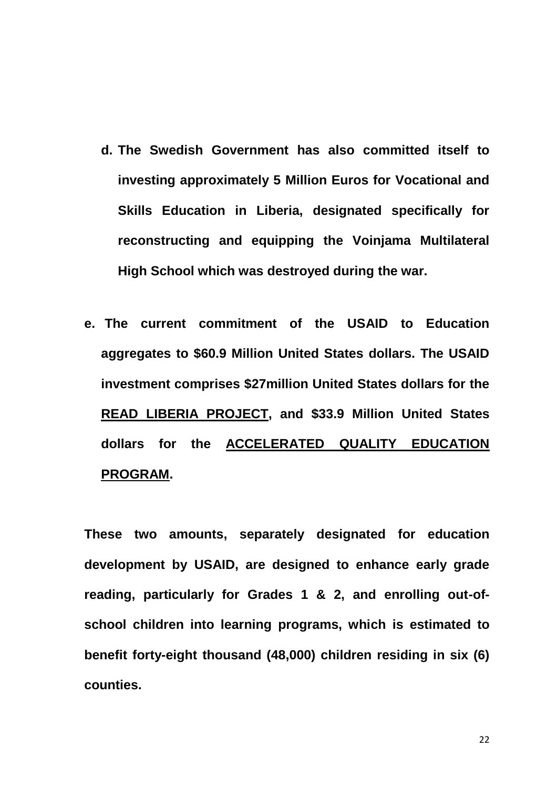- **d. The Swedish Government has also committed itself to investing approximately 5 Million Euros for Vocational and Skills Education in Liberia, designated specifically for reconstructing and equipping the Voinjama Multilateral High School which was destroyed during the war.**
- **e. The current commitment of the USAID to Education aggregates to \$60.9 Million United States dollars. The USAID investment comprises \$27million United States dollars for the READ LIBERIA PROJECT, and \$33.9 Million United States dollars for the ACCELERATED QUALITY EDUCATION PROGRAM.**

**These two amounts, separately designated for education development by USAID, are designed to enhance early grade reading, particularly for Grades 1 & 2, and enrolling out-ofschool children into learning programs, which is estimated to benefit forty-eight thousand (48,000) children residing in six (6) counties.**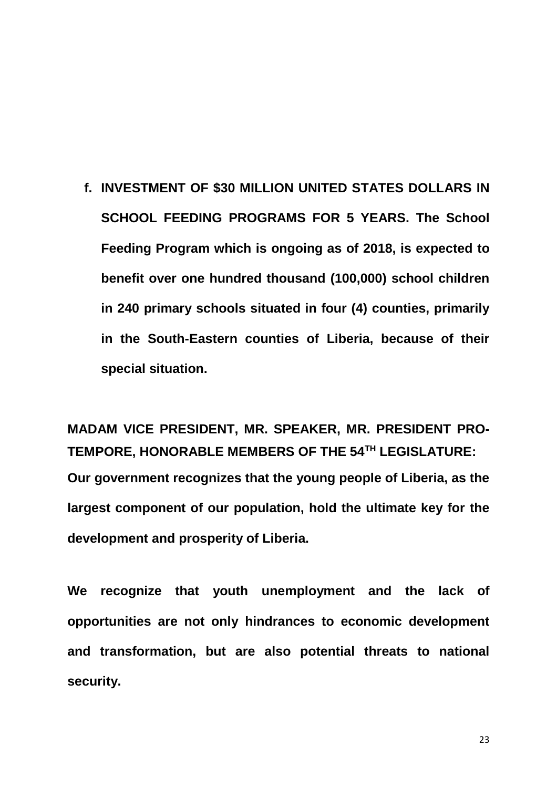**f. INVESTMENT OF \$30 MILLION UNITED STATES DOLLARS IN SCHOOL FEEDING PROGRAMS FOR 5 YEARS. The School Feeding Program which is ongoing as of 2018, is expected to benefit over one hundred thousand (100,000) school children in 240 primary schools situated in four (4) counties, primarily in the South-Eastern counties of Liberia, because of their special situation.**

**MADAM VICE PRESIDENT, MR. SPEAKER, MR. PRESIDENT PRO-TEMPORE, HONORABLE MEMBERS OF THE 54TH LEGISLATURE: Our government recognizes that the young people of Liberia, as the largest component of our population, hold the ultimate key for the development and prosperity of Liberia.** 

**We recognize that youth unemployment and the lack of opportunities are not only hindrances to economic development and transformation, but are also potential threats to national security.**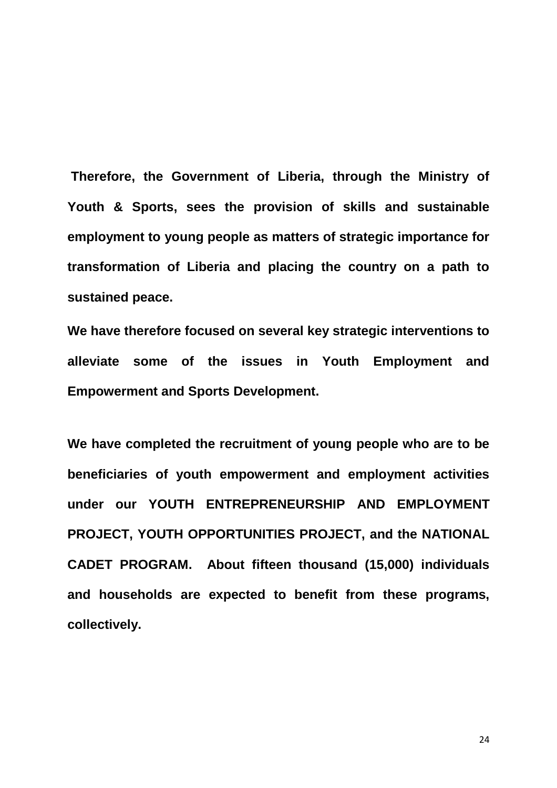**Therefore, the Government of Liberia, through the Ministry of Youth & Sports, sees the provision of skills and sustainable employment to young people as matters of strategic importance for transformation of Liberia and placing the country on a path to sustained peace.** 

**We have therefore focused on several key strategic interventions to alleviate some of the issues in Youth Employment and Empowerment and Sports Development.**

**We have completed the recruitment of young people who are to be beneficiaries of youth empowerment and employment activities under our YOUTH ENTREPRENEURSHIP AND EMPLOYMENT PROJECT, YOUTH OPPORTUNITIES PROJECT, and the NATIONAL CADET PROGRAM. About fifteen thousand (15,000) individuals and households are expected to benefit from these programs, collectively.**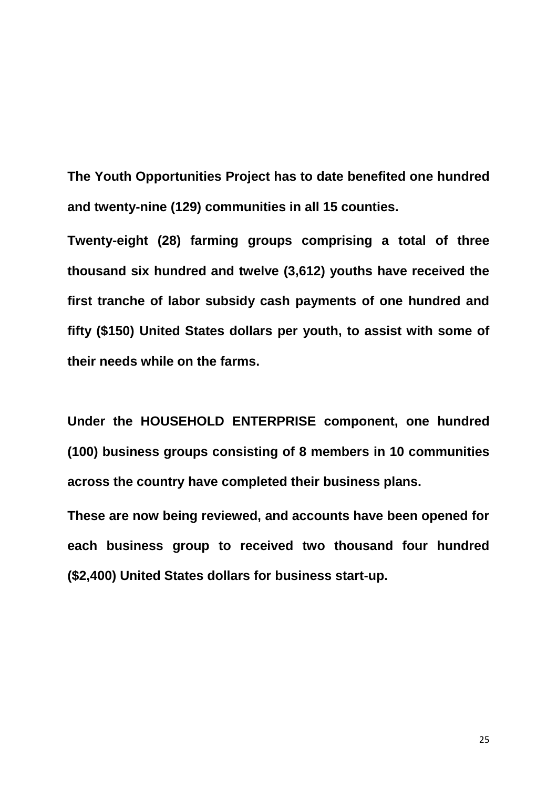**The Youth Opportunities Project has to date benefited one hundred and twenty-nine (129) communities in all 15 counties.**

**Twenty-eight (28) farming groups comprising a total of three thousand six hundred and twelve (3,612) youths have received the first tranche of labor subsidy cash payments of one hundred and fifty (\$150) United States dollars per youth, to assist with some of their needs while on the farms.** 

**Under the HOUSEHOLD ENTERPRISE component, one hundred (100) business groups consisting of 8 members in 10 communities across the country have completed their business plans.** 

**These are now being reviewed, and accounts have been opened for each business group to received two thousand four hundred (\$2,400) United States dollars for business start-up.**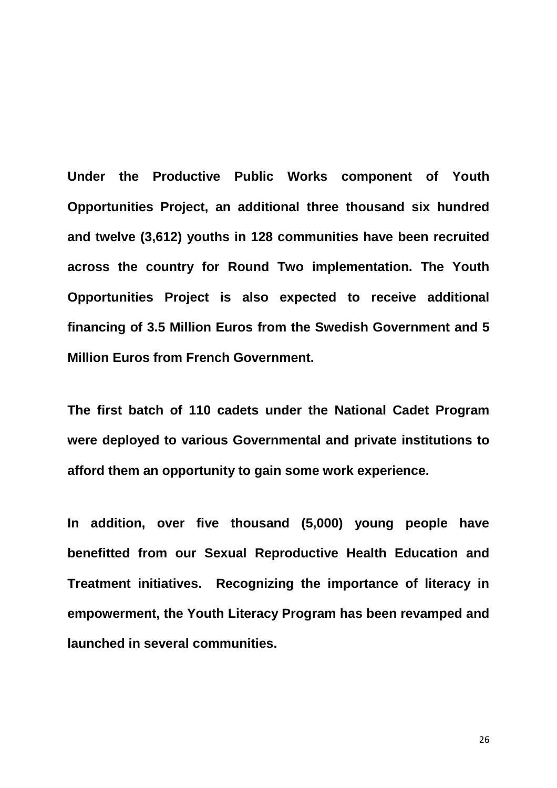**Under the Productive Public Works component of Youth Opportunities Project, an additional three thousand six hundred and twelve (3,612) youths in 128 communities have been recruited across the country for Round Two implementation. The Youth Opportunities Project is also expected to receive additional financing of 3.5 Million Euros from the Swedish Government and 5 Million Euros from French Government.** 

**The first batch of 110 cadets under the National Cadet Program were deployed to various Governmental and private institutions to afford them an opportunity to gain some work experience.**

**In addition, over five thousand (5,000) young people have benefitted from our Sexual Reproductive Health Education and Treatment initiatives. Recognizing the importance of literacy in empowerment, the Youth Literacy Program has been revamped and launched in several communities.**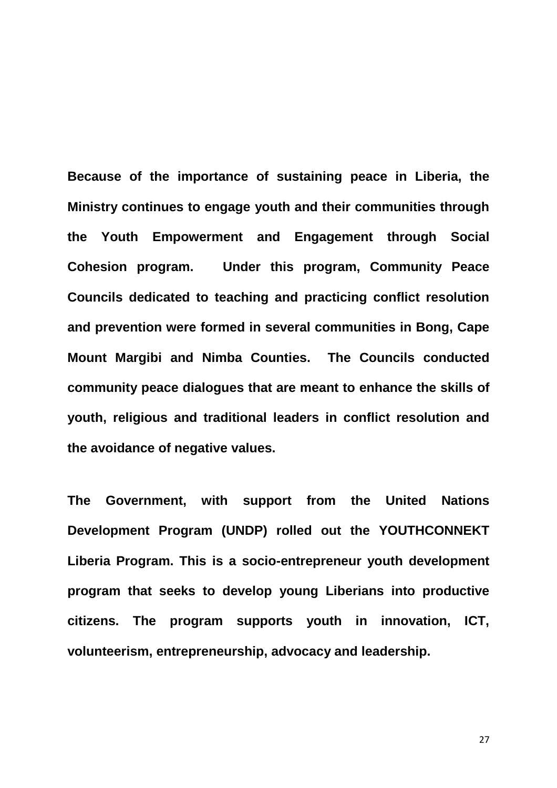**Because of the importance of sustaining peace in Liberia, the Ministry continues to engage youth and their communities through the Youth Empowerment and Engagement through Social Cohesion program. Under this program, Community Peace Councils dedicated to teaching and practicing conflict resolution and prevention were formed in several communities in Bong, Cape Mount Margibi and Nimba Counties. The Councils conducted community peace dialogues that are meant to enhance the skills of youth, religious and traditional leaders in conflict resolution and the avoidance of negative values.** 

**The Government, with support from the United Nations Development Program (UNDP) rolled out the YOUTHCONNEKT Liberia Program. This is a socio-entrepreneur youth development program that seeks to develop young Liberians into productive citizens. The program supports youth in innovation, ICT, volunteerism, entrepreneurship, advocacy and leadership.**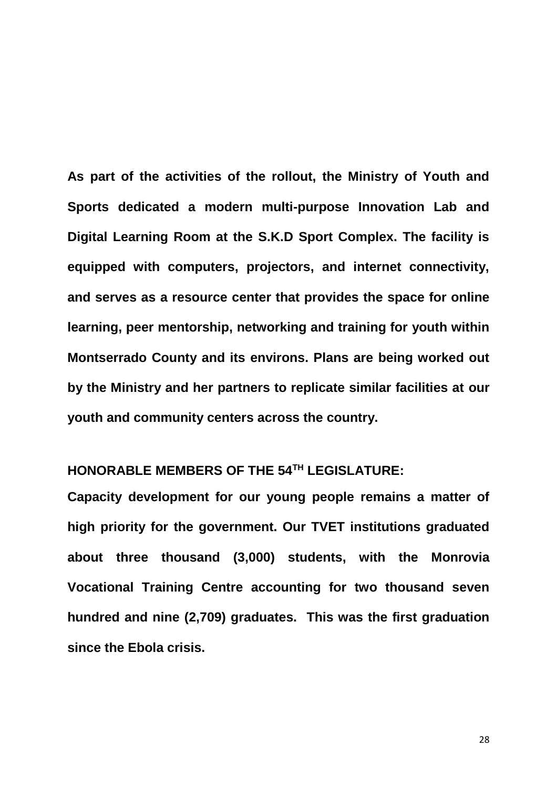**As part of the activities of the rollout, the Ministry of Youth and Sports dedicated a modern multi-purpose Innovation Lab and Digital Learning Room at the S.K.D Sport Complex. The facility is equipped with computers, projectors, and internet connectivity, and serves as a resource center that provides the space for online learning, peer mentorship, networking and training for youth within Montserrado County and its environs. Plans are being worked out by the Ministry and her partners to replicate similar facilities at our youth and community centers across the country.** 

#### **HONORABLE MEMBERS OF THE 54TH LEGISLATURE:**

**Capacity development for our young people remains a matter of high priority for the government. Our TVET institutions graduated about three thousand (3,000) students, with the Monrovia Vocational Training Centre accounting for two thousand seven hundred and nine (2,709) graduates. This was the first graduation since the Ebola crisis.**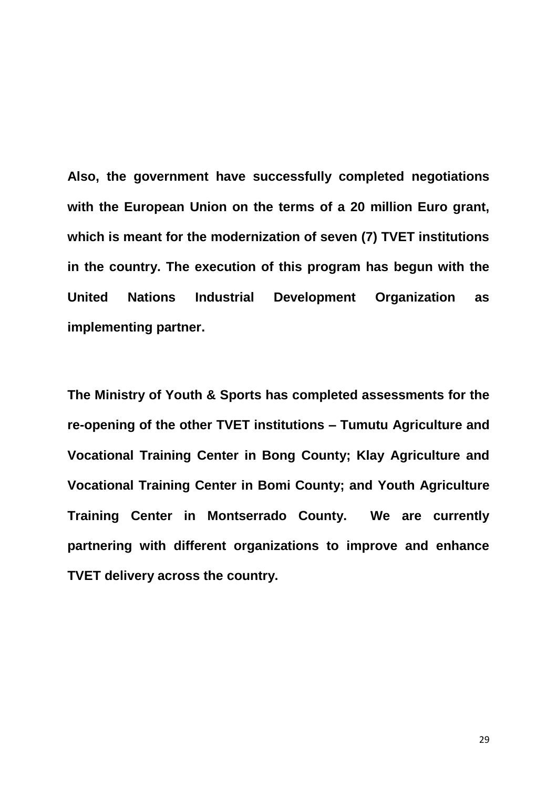**Also, the government have successfully completed negotiations with the European Union on the terms of a 20 million Euro grant, which is meant for the modernization of seven (7) TVET institutions in the country. The execution of this program has begun with the United Nations Industrial Development Organization as implementing partner.** 

**The Ministry of Youth & Sports has completed assessments for the re-opening of the other TVET institutions – Tumutu Agriculture and Vocational Training Center in Bong County; Klay Agriculture and Vocational Training Center in Bomi County; and Youth Agriculture Training Center in Montserrado County. We are currently partnering with different organizations to improve and enhance TVET delivery across the country.**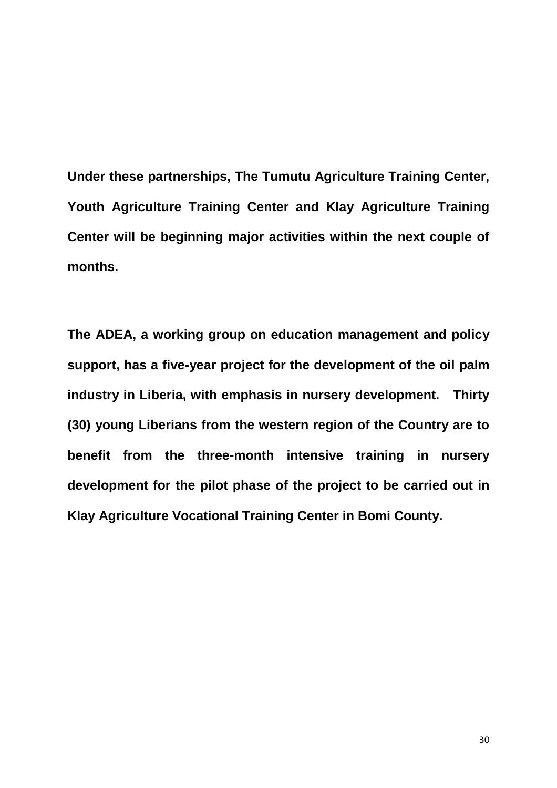**Under these partnerships, The Tumutu Agriculture Training Center, Youth Agriculture Training Center and Klay Agriculture Training Center will be beginning major activities within the next couple of months.** 

**The ADEA, a working group on education management and policy support, has a five-year project for the development of the oil palm industry in Liberia, with emphasis in nursery development. Thirty (30) young Liberians from the western region of the Country are to benefit from the three-month intensive training in nursery development for the pilot phase of the project to be carried out in Klay Agriculture Vocational Training Center in Bomi County.**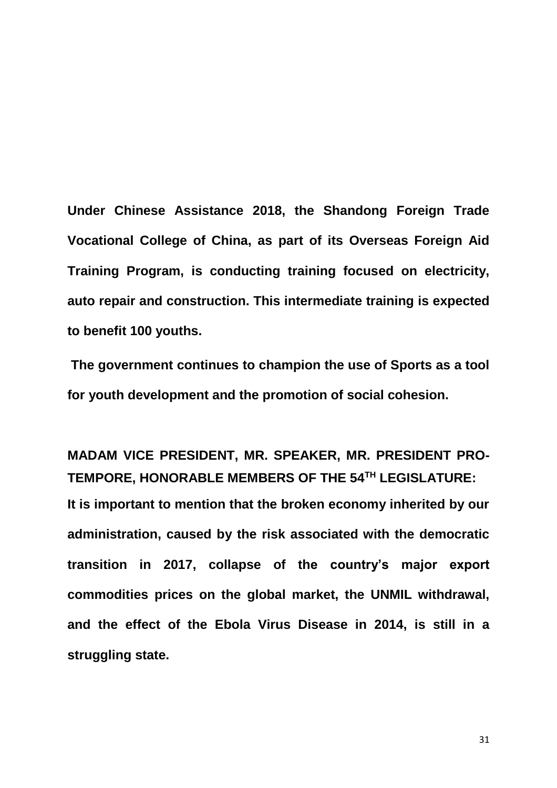**Under Chinese Assistance 2018, the Shandong Foreign Trade Vocational College of China, as part of its Overseas Foreign Aid Training Program, is conducting training focused on electricity, auto repair and construction. This intermediate training is expected to benefit 100 youths.**

**The government continues to champion the use of Sports as a tool for youth development and the promotion of social cohesion.**

**MADAM VICE PRESIDENT, MR. SPEAKER, MR. PRESIDENT PRO-TEMPORE, HONORABLE MEMBERS OF THE 54TH LEGISLATURE: It is important to mention that the broken economy inherited by our administration, caused by the risk associated with the democratic transition in 2017, collapse of the country's major export commodities prices on the global market, the UNMIL withdrawal, and the effect of the Ebola Virus Disease in 2014, is still in a struggling state.**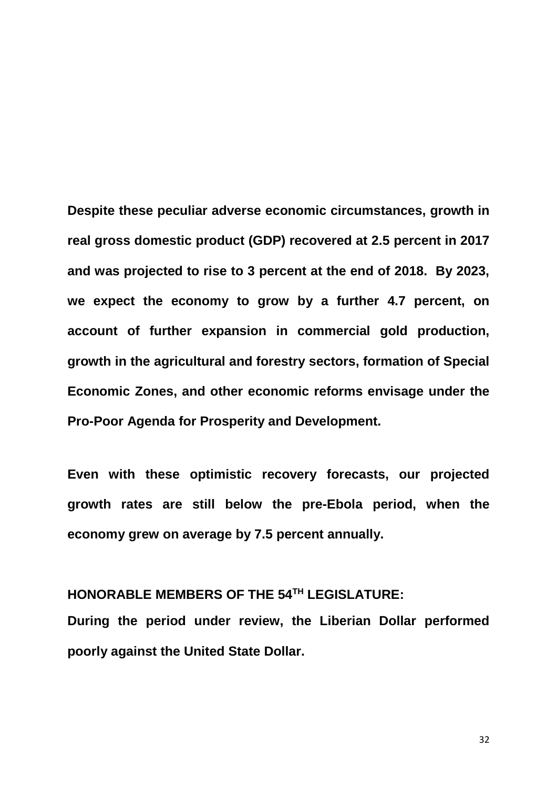**Despite these peculiar adverse economic circumstances, growth in real gross domestic product (GDP) recovered at 2.5 percent in 2017 and was projected to rise to 3 percent at the end of 2018. By 2023, we expect the economy to grow by a further 4.7 percent, on account of further expansion in commercial gold production, growth in the agricultural and forestry sectors, formation of Special Economic Zones, and other economic reforms envisage under the Pro-Poor Agenda for Prosperity and Development.**

**Even with these optimistic recovery forecasts, our projected growth rates are still below the pre-Ebola period, when the economy grew on average by 7.5 percent annually.**

#### **HONORABLE MEMBERS OF THE 54TH LEGISLATURE:**

**During the period under review, the Liberian Dollar performed poorly against the United State Dollar.**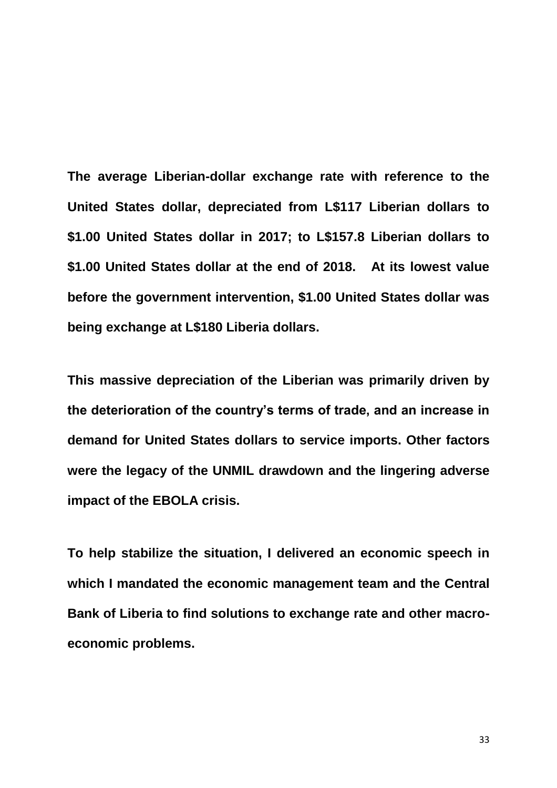**The average Liberian-dollar exchange rate with reference to the United States dollar, depreciated from L\$117 Liberian dollars to \$1.00 United States dollar in 2017; to L\$157.8 Liberian dollars to \$1.00 United States dollar at the end of 2018. At its lowest value before the government intervention, \$1.00 United States dollar was being exchange at L\$180 Liberia dollars.**

**This massive depreciation of the Liberian was primarily driven by the deterioration of the country's terms of trade, and an increase in demand for United States dollars to service imports. Other factors were the legacy of the UNMIL drawdown and the lingering adverse impact of the EBOLA crisis.**

**To help stabilize the situation, I delivered an economic speech in which I mandated the economic management team and the Central Bank of Liberia to find solutions to exchange rate and other macroeconomic problems.**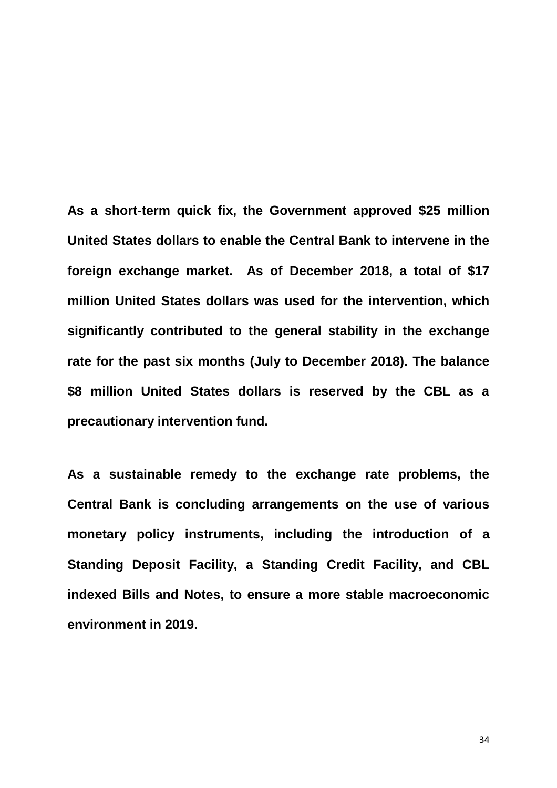**As a short-term quick fix, the Government approved \$25 million United States dollars to enable the Central Bank to intervene in the foreign exchange market. As of December 2018, a total of \$17 million United States dollars was used for the intervention, which significantly contributed to the general stability in the exchange rate for the past six months (July to December 2018). The balance \$8 million United States dollars is reserved by the CBL as a precautionary intervention fund..**

**As a sustainable remedy to the exchange rate problems, the Central Bank is concluding arrangements on the use of various monetary policy instruments, including the introduction of a Standing Deposit Facility, a Standing Credit Facility, and CBL indexed Bills and Notes, to ensure a more stable macroeconomic environment in 2019.**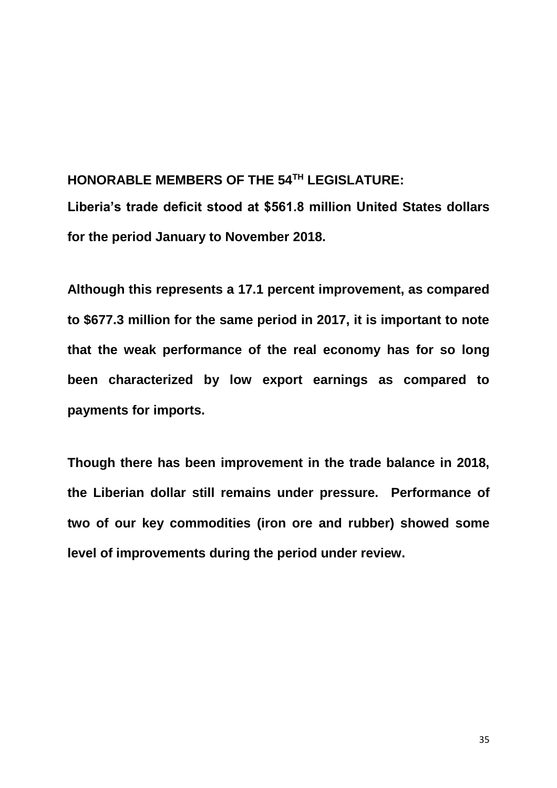# **HONORABLE MEMBERS OF THE 54TH LEGISLATURE: Liberia's trade deficit stood at \$561.8 million United States dollars**

**for the period January to November 2018.** 

**Although this represents a 17.1 percent improvement, as compared to \$677.3 million for the same period in 2017, it is important to note that the weak performance of the real economy has for so long been characterized by low export earnings as compared to payments for imports.** 

**Though there has been improvement in the trade balance in 2018, the Liberian dollar still remains under pressure. Performance of two of our key commodities (iron ore and rubber) showed some level of improvements during the period under review.**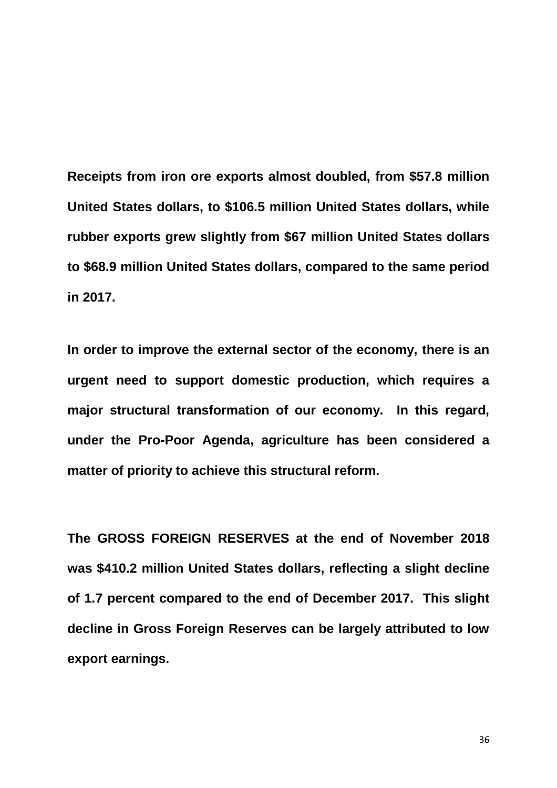**Receipts from iron ore exports almost doubled, from \$57.8 million United States dollars, to \$106.5 million United States dollars, while rubber exports grew slightly from \$67 million United States dollars to \$68.9 million United States dollars, compared to the same period in 2017.** 

**In order to improve the external sector of the economy, there is an urgent need to support domestic production, which requires a major structural transformation of our economy. In this regard, under the Pro-Poor Agenda, agriculture has been considered a matter of priority to achieve this structural reform.**

**The GROSS FOREIGN RESERVES at the end of November 2018 was \$410.2 million United States dollars, reflecting a slight decline of 1.7 percent compared to the end of December 2017. This slight decline in Gross Foreign Reserves can be largely attributed to low export earnings.**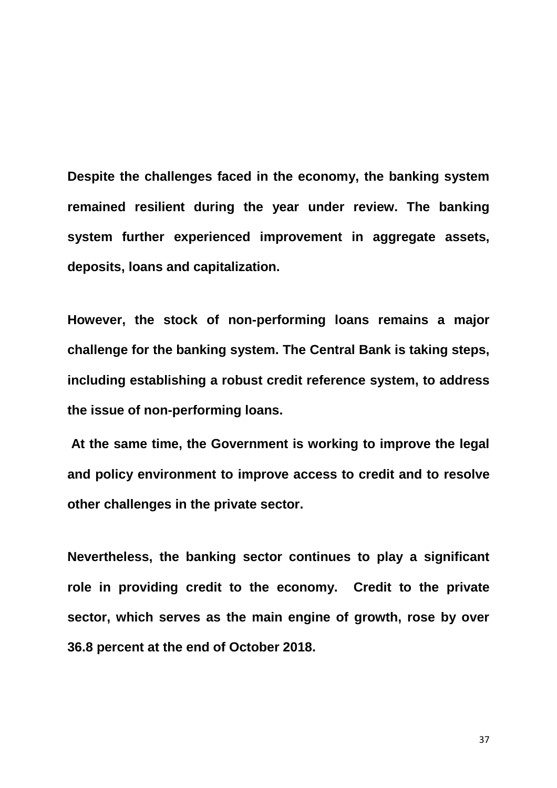**Despite the challenges faced in the economy, the banking system remained resilient during the year under review. The banking system further experienced improvement in aggregate assets, deposits, loans and capitalization.** 

**However, the stock of non-performing loans remains a major challenge for the banking system. The Central Bank is taking steps, including establishing a robust credit reference system, to address the issue of non-performing loans.** 

**At the same time, the Government is working to improve the legal and policy environment to improve access to credit and to resolve other challenges in the private sector.**

**Nevertheless, the banking sector continues to play a significant role in providing credit to the economy. Credit to the private sector, which serves as the main engine of growth, rose by over 36.8 percent at the end of October 2018.**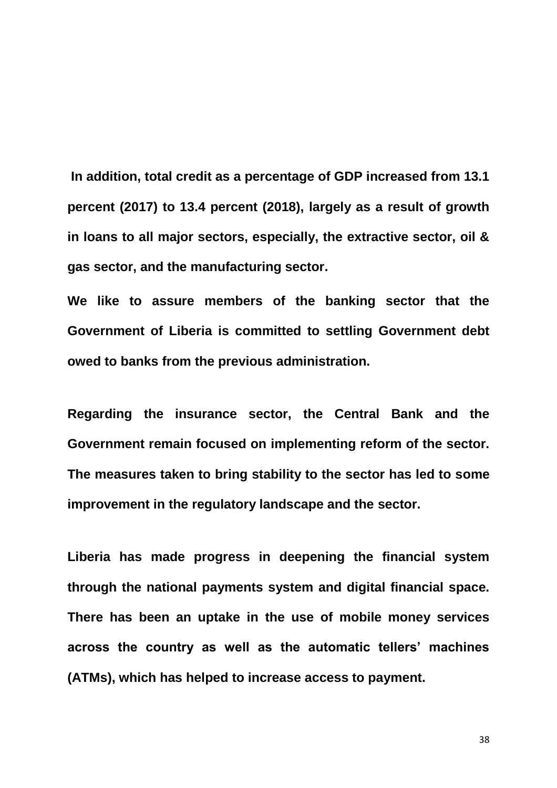**In addition, total credit as a percentage of GDP increased from 13.1 percent (2017) to 13.4 percent (2018), largely as a result of growth in loans to all major sectors, especially, the extractive sector, oil & gas sector, and the manufacturing sector.** 

**We like to assure members of the banking sector that the Government of Liberia is committed to settling Government debt owed to banks from the previous administration.** 

**Regarding the insurance sector, the Central Bank and the Government remain focused on implementing reform of the sector. The measures taken to bring stability to the sector has led to some improvement in the regulatory landscape and the sector.** 

**Liberia has made progress in deepening the financial system through the national payments system and digital financial space. There has been an uptake in the use of mobile money services across the country as well as the automatic tellers' machines (ATMs), which has helped to increase access to payment.**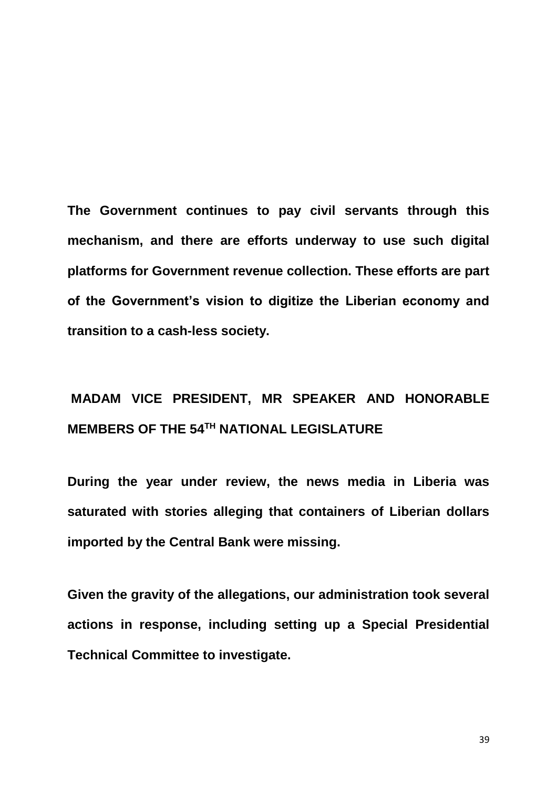**The Government continues to pay civil servants through this mechanism, and there are efforts underway to use such digital platforms for Government revenue collection. These efforts are part of the Government's vision to digitize the Liberian economy and transition to a cash-less society.** 

# **MADAM VICE PRESIDENT, MR SPEAKER AND HONORABLE MEMBERS OF THE 54TH NATIONAL LEGISLATURE**

**During the year under review, the news media in Liberia was saturated with stories alleging that containers of Liberian dollars imported by the Central Bank were missing.**

**Given the gravity of the allegations, our administration took several actions in response, including setting up a Special Presidential Technical Committee to investigate.**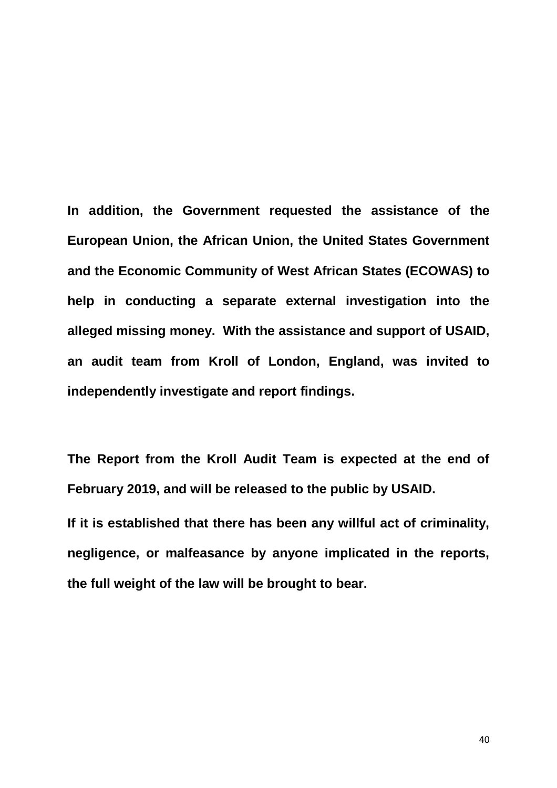**In addition, the Government requested the assistance of the European Union, the African Union, the United States Government and the Economic Community of West African States (ECOWAS) to help in conducting a separate external investigation into the alleged missing money. With the assistance and support of USAID, an audit team from Kroll of London, England, was invited to independently investigate and report findings.** 

**The Report from the Kroll Audit Team is expected at the end of February 2019, and will be released to the public by USAID.**

**If it is established that there has been any willful act of criminality, negligence, or malfeasance by anyone implicated in the reports, the full weight of the law will be brought to bear.**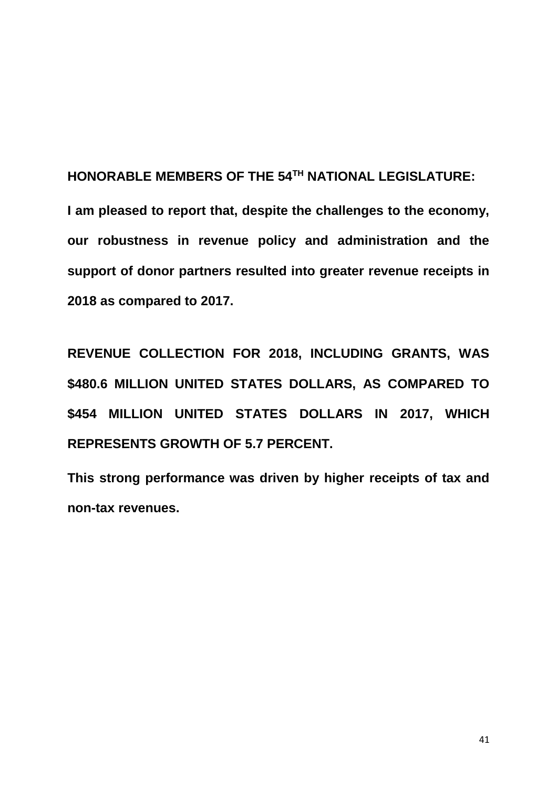## **HONORABLE MEMBERS OF THE 54TH NATIONAL LEGISLATURE:**

**I am pleased to report that, despite the challenges to the economy, our robustness in revenue policy and administration and the support of donor partners resulted into greater revenue receipts in 2018 as compared to 2017.** 

**REVENUE COLLECTION FOR 2018, INCLUDING GRANTS, WAS \$480.6 MILLION UNITED STATES DOLLARS, AS COMPARED TO \$454 MILLION UNITED STATES DOLLARS IN 2017, WHICH REPRESENTS GROWTH OF 5.7 PERCENT.**

**This strong performance was driven by higher receipts of tax and non-tax revenues.**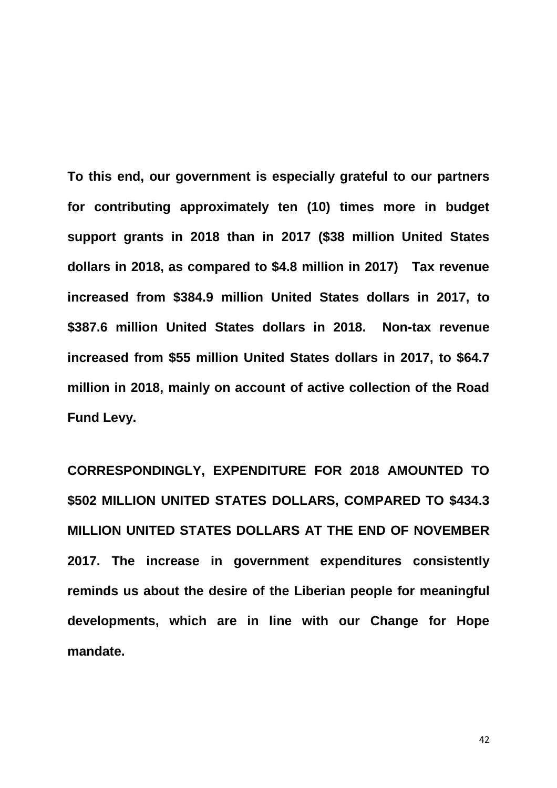**To this end, our government is especially grateful to our partners for contributing approximately ten (10) times more in budget support grants in 2018 than in 2017 (\$38 million United States dollars in 2018, as compared to \$4.8 million in 2017) Tax revenue increased from \$384.9 million United States dollars in 2017, to \$387.6 million United States dollars in 2018. Non-tax revenue increased from \$55 million United States dollars in 2017, to \$64.7 million in 2018, mainly on account of active collection of the Road Fund Levy.**

**CORRESPONDINGLY, EXPENDITURE FOR 2018 AMOUNTED TO \$502 MILLION UNITED STATES DOLLARS, COMPARED TO \$434.3 MILLION UNITED STATES DOLLARS AT THE END OF NOVEMBER 2017. The increase in government expenditures consistently reminds us about the desire of the Liberian people for meaningful developments, which are in line with our Change for Hope mandate.**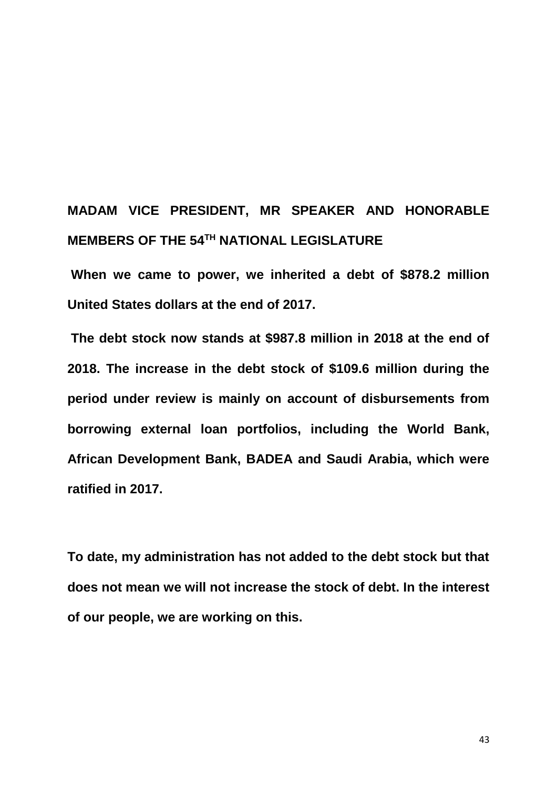## **MADAM VICE PRESIDENT, MR SPEAKER AND HONORABLE MEMBERS OF THE 54TH NATIONAL LEGISLATURE**

**When we came to power, we inherited a debt of \$878.2 million United States dollars at the end of 2017.**

**The debt stock now stands at \$987.8 million in 2018 at the end of 2018. The increase in the debt stock of \$109.6 million during the period under review is mainly on account of disbursements from borrowing external loan portfolios, including the World Bank, African Development Bank, BADEA and Saudi Arabia, which were ratified in 2017.** 

**To date, my administration has not added to the debt stock but that does not mean we will not increase the stock of debt. In the interest of our people, we are working on this.**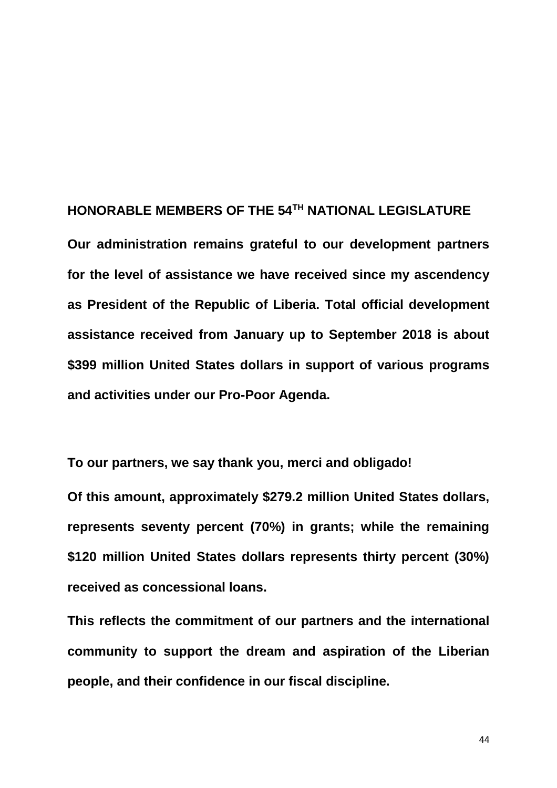# **HONORABLE MEMBERS OF THE 54TH NATIONAL LEGISLATURE Our administration remains grateful to our development partners for the level of assistance we have received since my ascendency as President of the Republic of Liberia. Total official development assistance received from January up to September 2018 is about \$399 million United States dollars in support of various programs and activities under our Pro-Poor Agenda.**

**To our partners, we say thank you, merci and obligado!**

**Of this amount, approximately \$279.2 million United States dollars, represents seventy percent (70%) in grants; while the remaining \$120 million United States dollars represents thirty percent (30%) received as concessional loans.**

**This reflects the commitment of our partners and the international community to support the dream and aspiration of the Liberian people, and their confidence in our fiscal discipline.**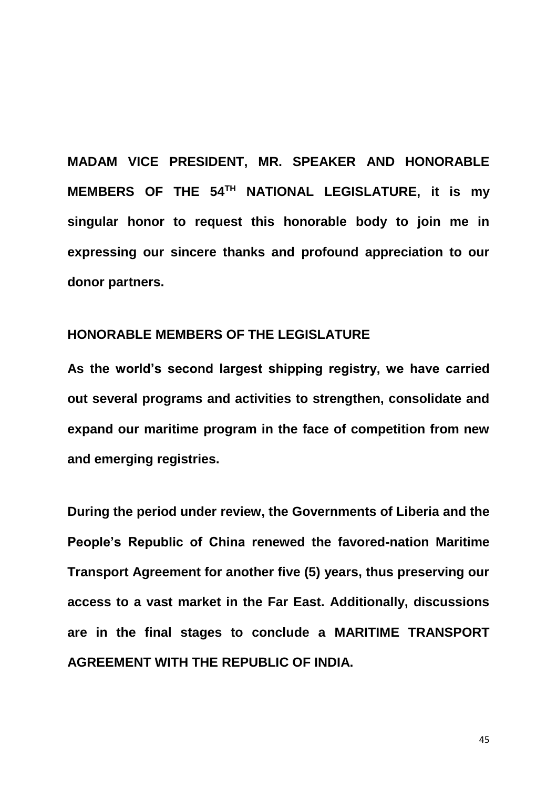**MADAM VICE PRESIDENT, MR. SPEAKER AND HONORABLE MEMBERS OF THE 54TH NATIONAL LEGISLATURE, it is my singular honor to request this honorable body to join me in expressing our sincere thanks and profound appreciation to our donor partners.** 

#### **HONORABLE MEMBERS OF THE LEGISLATURE**

**As the world's second largest shipping registry, we have carried out several programs and activities to strengthen, consolidate and expand our maritime program in the face of competition from new and emerging registries.**

**During the period under review, the Governments of Liberia and the People's Republic of China renewed the favored-nation Maritime Transport Agreement for another five (5) years, thus preserving our access to a vast market in the Far East. Additionally, discussions are in the final stages to conclude a MARITIME TRANSPORT AGREEMENT WITH THE REPUBLIC OF INDIA.**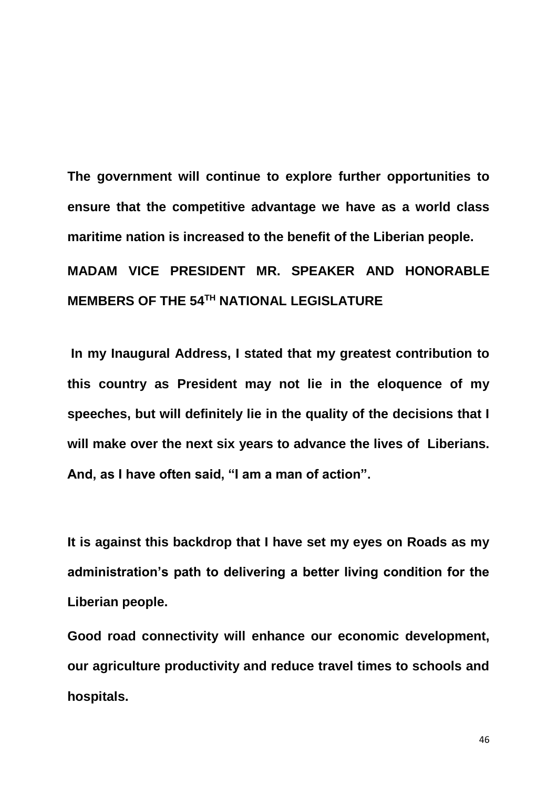**The government will continue to explore further opportunities to ensure that the competitive advantage we have as a world class maritime nation is increased to the benefit of the Liberian people. MADAM VICE PRESIDENT MR. SPEAKER AND HONORABLE MEMBERS OF THE 54TH NATIONAL LEGISLATURE**

**In my Inaugural Address, I stated that my greatest contribution to this country as President may not lie in the eloquence of my speeches, but will definitely lie in the quality of the decisions that I will make over the next six years to advance the lives of Liberians. And, as I have often said, "I am a man of action".** 

**It is against this backdrop that I have set my eyes on Roads as my administration's path to delivering a better living condition for the Liberian people.** 

**Good road connectivity will enhance our economic development, our agriculture productivity and reduce travel times to schools and hospitals.**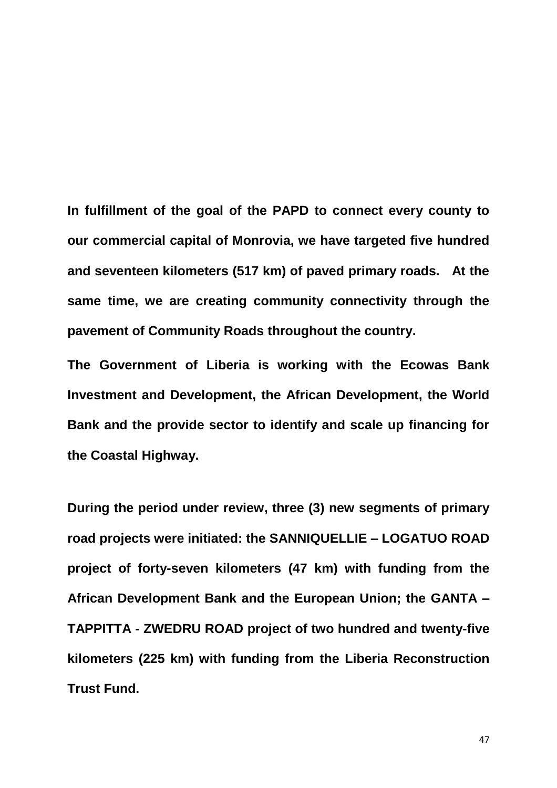**In fulfillment of the goal of the PAPD to connect every county to our commercial capital of Monrovia, we have targeted five hundred and seventeen kilometers (517 km) of paved primary roads. At the same time, we are creating community connectivity through the pavement of Community Roads throughout the country.** 

**The Government of Liberia is working with the Ecowas Bank Investment and Development, the African Development, the World Bank and the provide sector to identify and scale up financing for the Coastal Highway.** 

**During the period under review, three (3) new segments of primary road projects were initiated: the SANNIQUELLIE – LOGATUO ROAD project of forty-seven kilometers (47 km) with funding from the African Development Bank and the European Union; the GANTA – TAPPITTA - ZWEDRU ROAD project of two hundred and twenty-five kilometers (225 km) with funding from the Liberia Reconstruction Trust Fund.**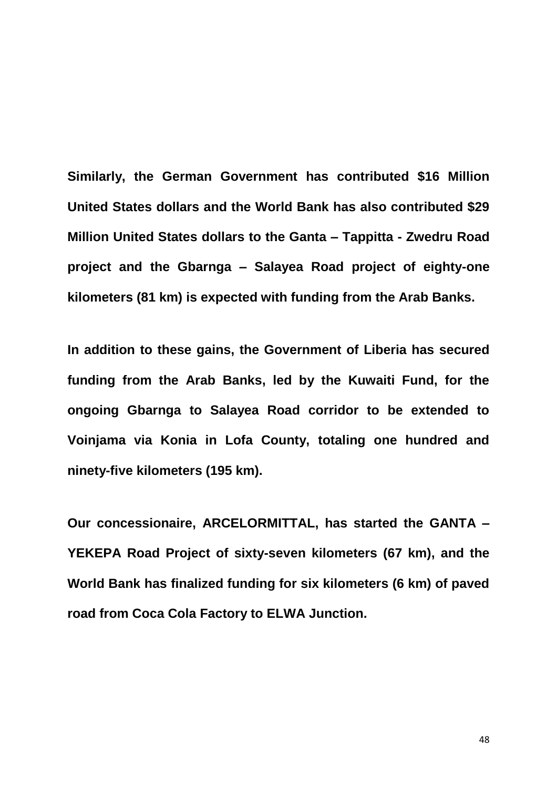**Similarly, the German Government has contributed \$16 Million United States dollars and the World Bank has also contributed \$29 Million United States dollars to the Ganta – Tappitta - Zwedru Road project and the Gbarnga – Salayea Road project of eighty-one kilometers (81 km) is expected with funding from the Arab Banks.** 

**In addition to these gains, the Government of Liberia has secured funding from the Arab Banks, led by the Kuwaiti Fund, for the ongoing Gbarnga to Salayea Road corridor to be extended to Voinjama via Konia in Lofa County, totaling one hundred and ninety-five kilometers (195 km).** 

**Our concessionaire, ARCELORMITTAL, has started the GANTA – YEKEPA Road Project of sixty-seven kilometers (67 km), and the World Bank has finalized funding for six kilometers (6 km) of paved road from Coca Cola Factory to ELWA Junction.**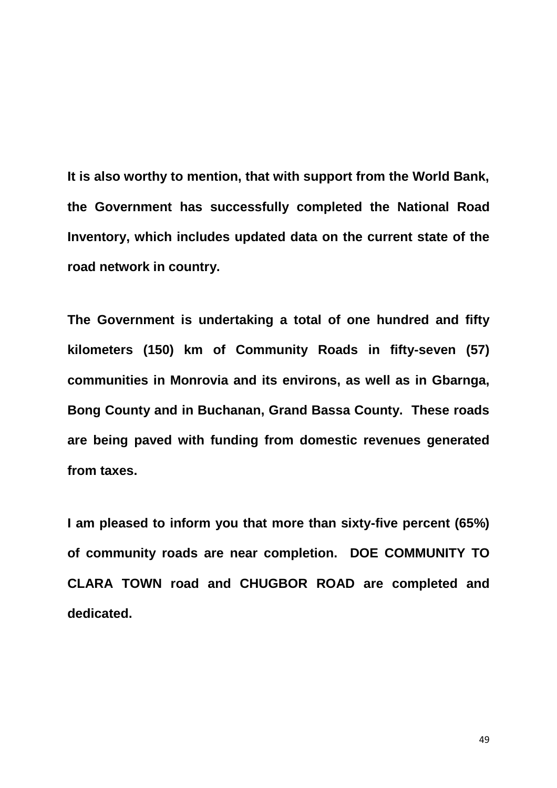**It is also worthy to mention, that with support from the World Bank, the Government has successfully completed the National Road Inventory, which includes updated data on the current state of the road network in country.** 

**The Government is undertaking a total of one hundred and fifty kilometers (150) km of Community Roads in fifty-seven (57) communities in Monrovia and its environs, as well as in Gbarnga, Bong County and in Buchanan, Grand Bassa County. These roads are being paved with funding from domestic revenues generated from taxes.** 

**I am pleased to inform you that more than sixty-five percent (65%) of community roads are near completion. DOE COMMUNITY TO CLARA TOWN road and CHUGBOR ROAD are completed and dedicated.**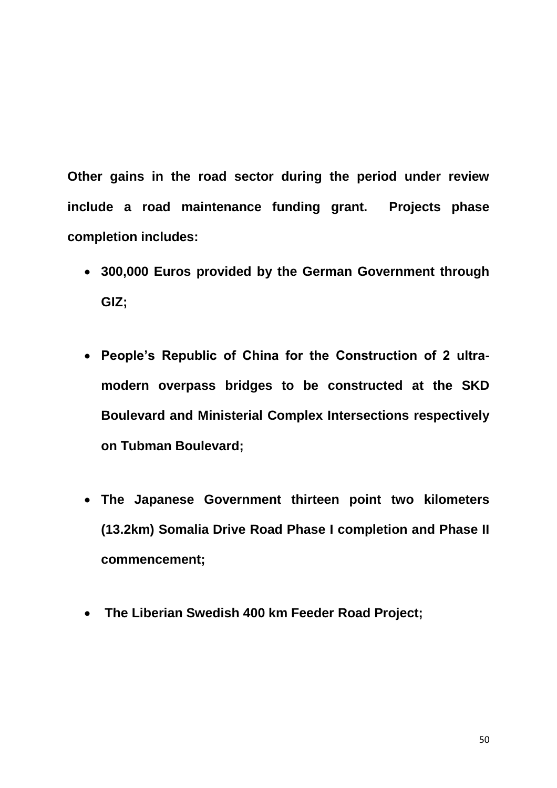**Other gains in the road sector during the period under review include a road maintenance funding grant. Projects phase completion includes:**

- **300,000 Euros provided by the German Government through GIZ;**
- **People's Republic of China for the Construction of 2 ultramodern overpass bridges to be constructed at the SKD Boulevard and Ministerial Complex Intersections respectively on Tubman Boulevard;**
- **The Japanese Government thirteen point two kilometers (13.2km) Somalia Drive Road Phase I completion and Phase II commencement;**
- **The Liberian Swedish 400 km Feeder Road Project;**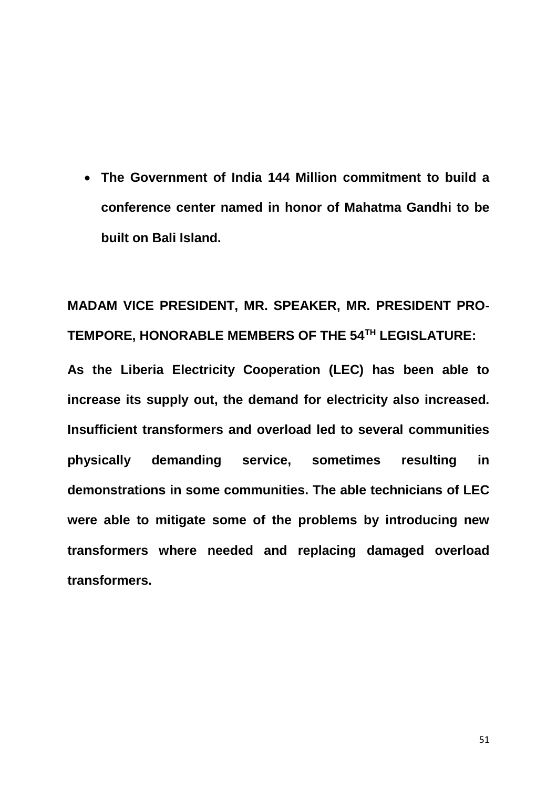**The Government of India 144 Million commitment to build a conference center named in honor of Mahatma Gandhi to be built on Bali Island.**

**MADAM VICE PRESIDENT, MR. SPEAKER, MR. PRESIDENT PRO-TEMPORE, HONORABLE MEMBERS OF THE 54TH LEGISLATURE:** 

**As the Liberia Electricity Cooperation (LEC) has been able to increase its supply out, the demand for electricity also increased. Insufficient transformers and overload led to several communities physically demanding service, sometimes resulting in demonstrations in some communities. The able technicians of LEC were able to mitigate some of the problems by introducing new transformers where needed and replacing damaged overload transformers.**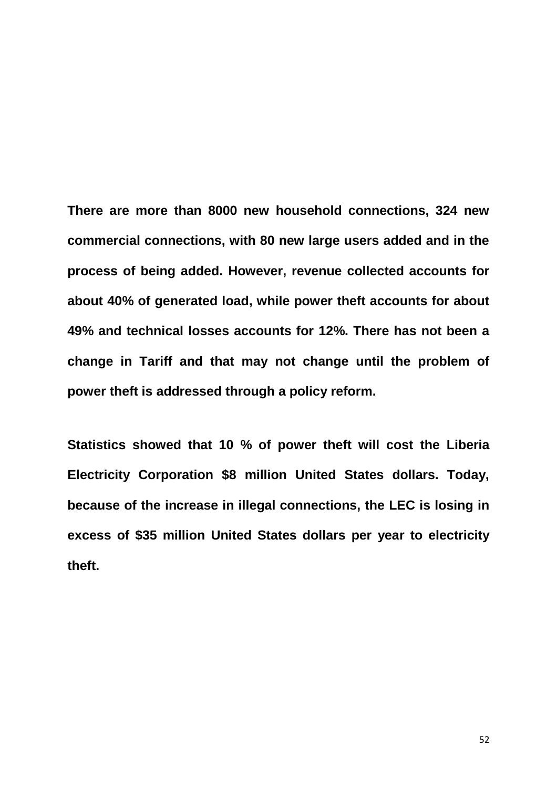**There are more than 8000 new household connections, 324 new commercial connections, with 80 new large users added and in the process of being added. However, revenue collected accounts for about 40% of generated load, while power theft accounts for about 49% and technical losses accounts for 12%. There has not been a change in Tariff and that may not change until the problem of power theft is addressed through a policy reform.**

**Statistics showed that 10 % of power theft will cost the Liberia Electricity Corporation \$8 million United States dollars. Today, because of the increase in illegal connections, the LEC is losing in excess of \$35 million United States dollars per year to electricity theft.**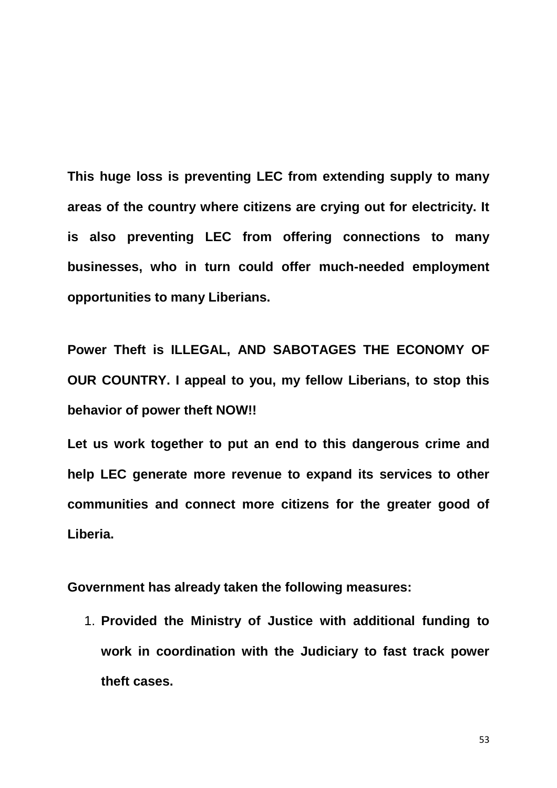**This huge loss is preventing LEC from extending supply to many areas of the country where citizens are crying out for electricity. It is also preventing LEC from offering connections to many businesses, who in turn could offer much-needed employment opportunities to many Liberians.** 

**Power Theft is ILLEGAL, AND SABOTAGES THE ECONOMY OF OUR COUNTRY. I appeal to you, my fellow Liberians, to stop this behavior of power theft NOW!!**

**Let us work together to put an end to this dangerous crime and help LEC generate more revenue to expand its services to other communities and connect more citizens for the greater good of Liberia.**

**Government has already taken the following measures:**

1. **Provided the Ministry of Justice with additional funding to work in coordination with the Judiciary to fast track power theft cases.**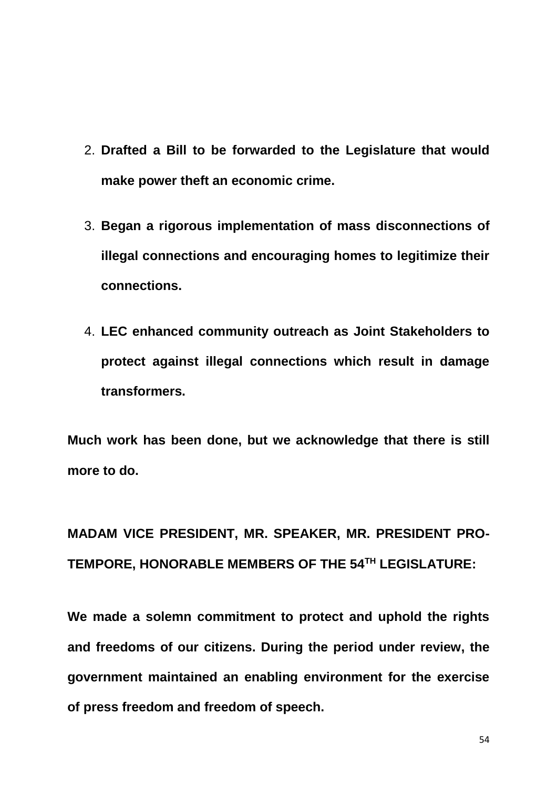- 2. **Drafted a Bill to be forwarded to the Legislature that would make power theft an economic crime.**
- 3. **Began a rigorous implementation of mass disconnections of illegal connections and encouraging homes to legitimize their connections.**
- 4. **LEC enhanced community outreach as Joint Stakeholders to protect against illegal connections which result in damage transformers.**

**Much work has been done, but we acknowledge that there is still more to do.**

**MADAM VICE PRESIDENT, MR. SPEAKER, MR. PRESIDENT PRO-TEMPORE, HONORABLE MEMBERS OF THE 54TH LEGISLATURE:** 

**We made a solemn commitment to protect and uphold the rights and freedoms of our citizens. During the period under review, the government maintained an enabling environment for the exercise of press freedom and freedom of speech.**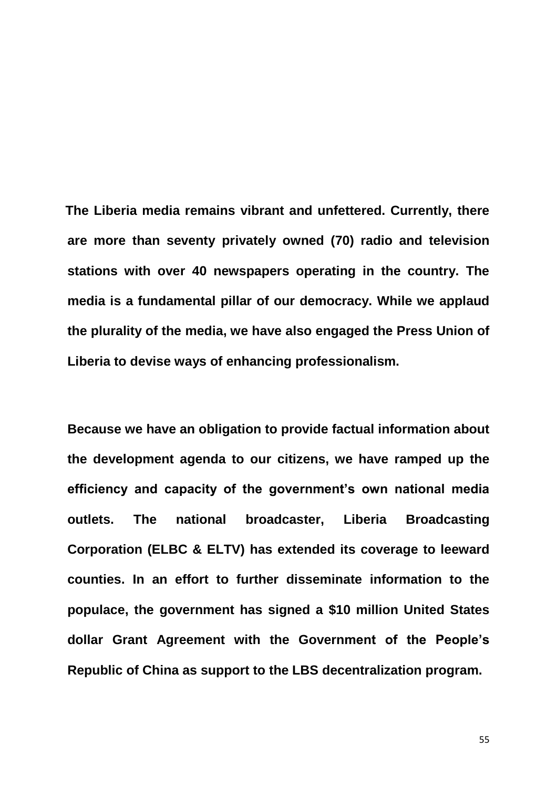**The Liberia media remains vibrant and unfettered. Currently, there are more than seventy privately owned (70) radio and television stations with over 40 newspapers operating in the country. The media is a fundamental pillar of our democracy. While we applaud the plurality of the media, we have also engaged the Press Union of Liberia to devise ways of enhancing professionalism.**

**Because we have an obligation to provide factual information about the development agenda to our citizens, we have ramped up the efficiency and capacity of the government's own national media outlets. The national broadcaster, Liberia Broadcasting Corporation (ELBC & ELTV) has extended its coverage to leeward counties. In an effort to further disseminate information to the populace, the government has signed a \$10 million United States dollar Grant Agreement with the Government of the People's Republic of China as support to the LBS decentralization program.**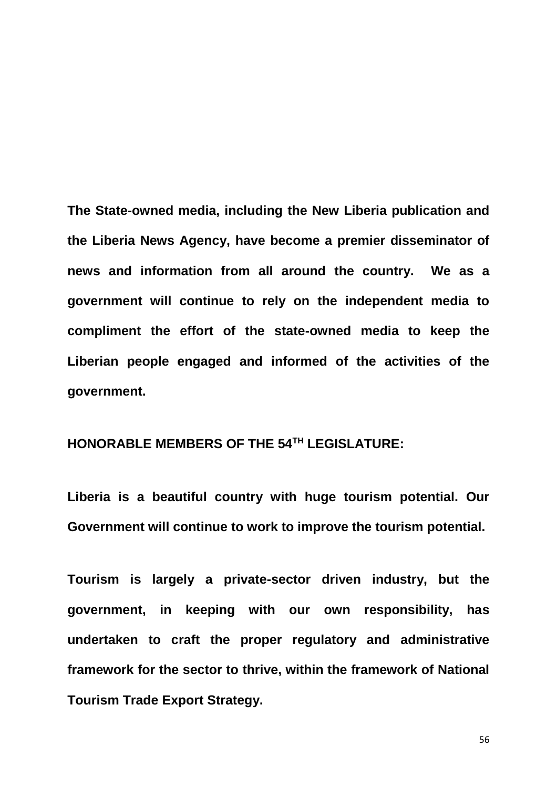**The State-owned media, including the New Liberia publication and the Liberia News Agency, have become a premier disseminator of news and information from all around the country. We as a government will continue to rely on the independent media to compliment the effort of the state-owned media to keep the Liberian people engaged and informed of the activities of the government.**

#### **HONORABLE MEMBERS OF THE 54TH LEGISLATURE:**

**Liberia is a beautiful country with huge tourism potential. Our Government will continue to work to improve the tourism potential.** 

**Tourism is largely a private-sector driven industry, but the government, in keeping with our own responsibility, has undertaken to craft the proper regulatory and administrative framework for the sector to thrive, within the framework of National Tourism Trade Export Strategy.**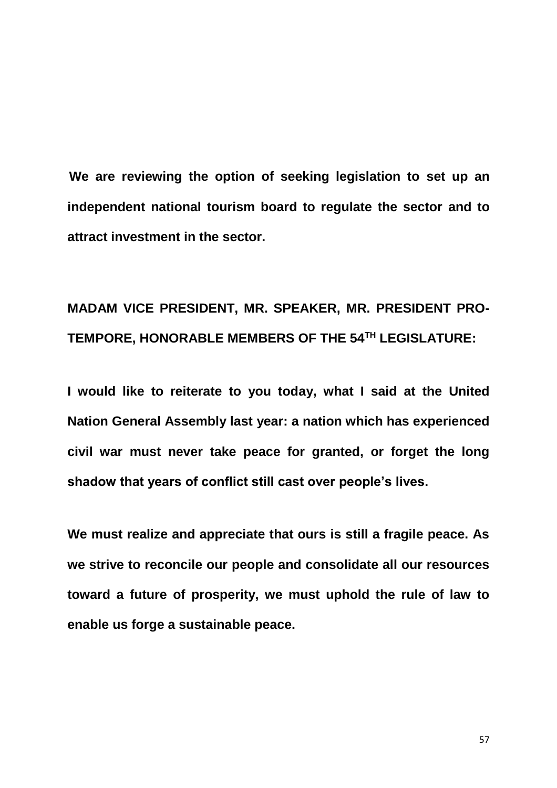**We are reviewing the option of seeking legislation to set up an independent national tourism board to regulate the sector and to attract investment in the sector.** 

## **MADAM VICE PRESIDENT, MR. SPEAKER, MR. PRESIDENT PRO-TEMPORE, HONORABLE MEMBERS OF THE 54TH LEGISLATURE:**

**I would like to reiterate to you today, what I said at the United Nation General Assembly last year: a nation which has experienced civil war must never take peace for granted, or forget the long shadow that years of conflict still cast over people's lives.** 

**We must realize and appreciate that ours is still a fragile peace. As we strive to reconcile our people and consolidate all our resources toward a future of prosperity, we must uphold the rule of law to enable us forge a sustainable peace.**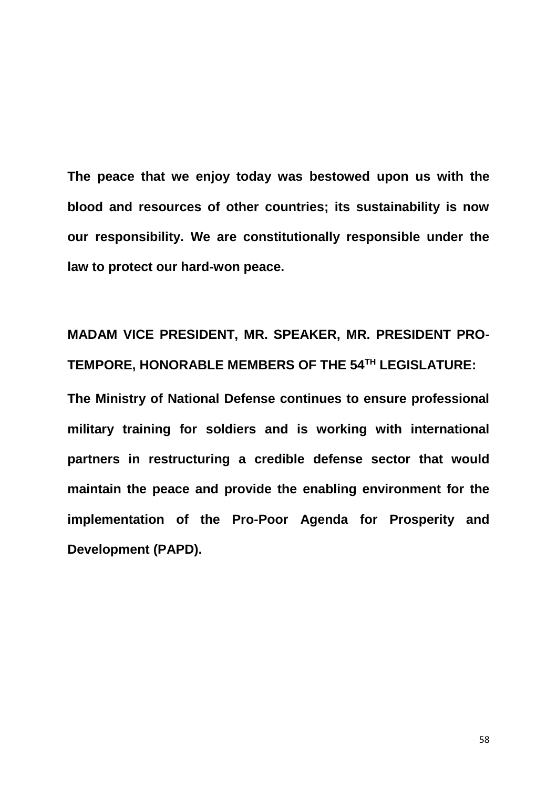**The peace that we enjoy today was bestowed upon us with the blood and resources of other countries; its sustainability is now our responsibility. We are constitutionally responsible under the law to protect our hard-won peace.**

**MADAM VICE PRESIDENT, MR. SPEAKER, MR. PRESIDENT PRO-TEMPORE, HONORABLE MEMBERS OF THE 54TH LEGISLATURE:** 

**The Ministry of National Defense continues to ensure professional military training for soldiers and is working with international partners in restructuring a credible defense sector that would maintain the peace and provide the enabling environment for the implementation of the Pro-Poor Agenda for Prosperity and Development (PAPD).**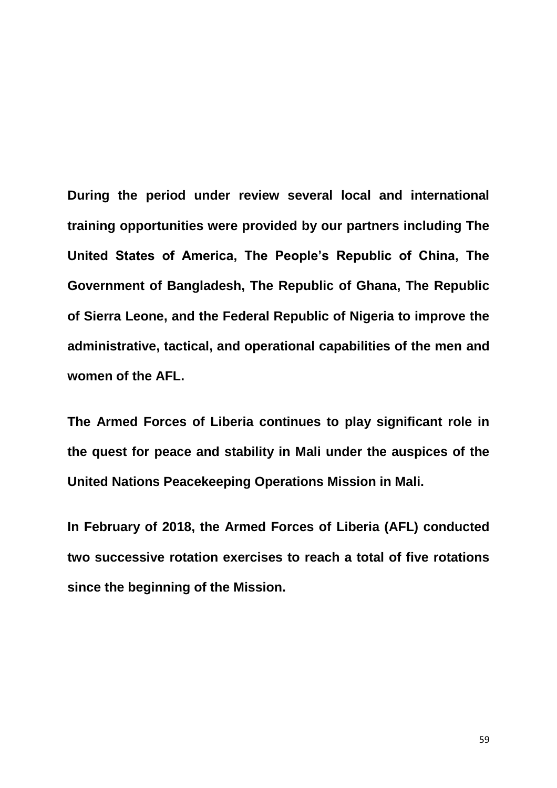**During the period under review several local and international training opportunities were provided by our partners including The United States of America, The People's Republic of China, The Government of Bangladesh, The Republic of Ghana, The Republic of Sierra Leone, and the Federal Republic of Nigeria to improve the administrative, tactical, and operational capabilities of the men and women of the AFL.** 

**The Armed Forces of Liberia continues to play significant role in the quest for peace and stability in Mali under the auspices of the United Nations Peacekeeping Operations Mission in Mali.** 

**In February of 2018, the Armed Forces of Liberia (AFL) conducted two successive rotation exercises to reach a total of five rotations since the beginning of the Mission.**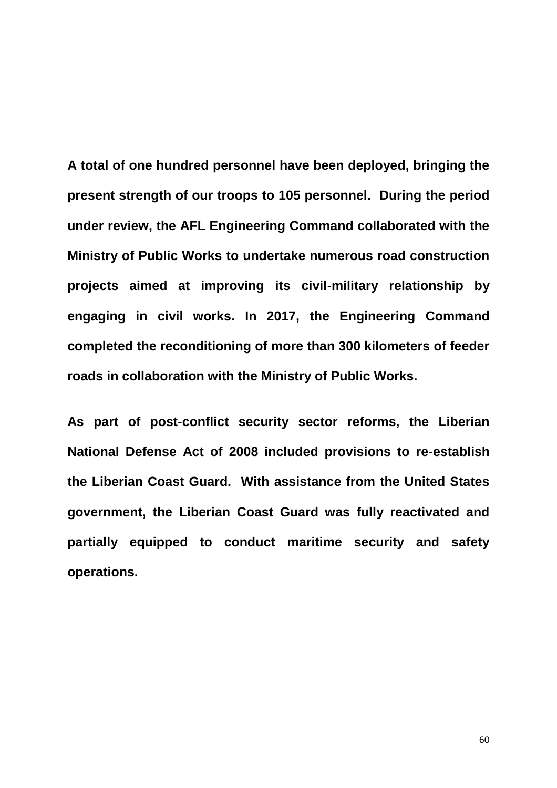**A total of one hundred personnel have been deployed, bringing the present strength of our troops to 105 personnel. During the period under review, the AFL Engineering Command collaborated with the Ministry of Public Works to undertake numerous road construction projects aimed at improving its civil-military relationship by engaging in civil works. In 2017, the Engineering Command completed the reconditioning of more than 300 kilometers of feeder roads in collaboration with the Ministry of Public Works.** 

**As part of post-conflict security sector reforms, the Liberian National Defense Act of 2008 included provisions to re-establish the Liberian Coast Guard. With assistance from the United States government, the Liberian Coast Guard was fully reactivated and partially equipped to conduct maritime security and safety operations.**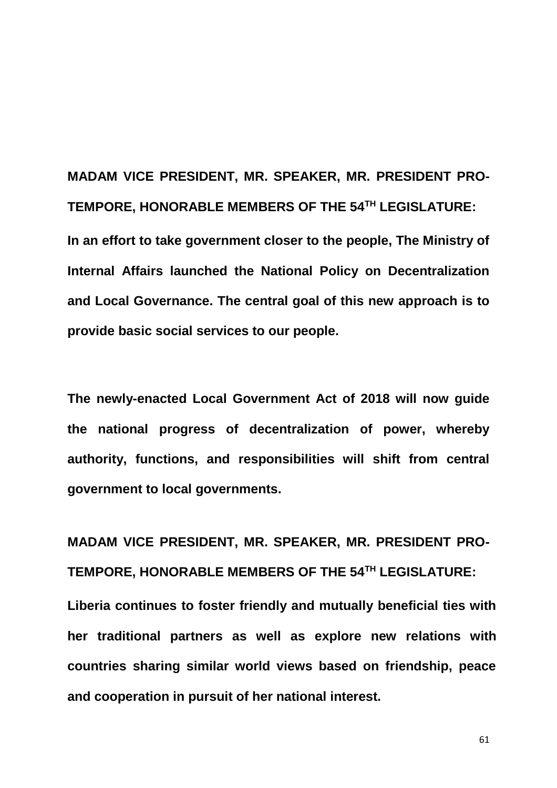**MADAM VICE PRESIDENT, MR. SPEAKER, MR. PRESIDENT PRO-TEMPORE, HONORABLE MEMBERS OF THE 54TH LEGISLATURE: In an effort to take government closer to the people, The Ministry of Internal Affairs launched the National Policy on Decentralization and Local Governance. The central goal of this new approach is to provide basic social services to our people.** 

**The newly-enacted Local Government Act of 2018 will now guide the national progress of decentralization of power, whereby authority, functions, and responsibilities will shift from central government to local governments.**

**MADAM VICE PRESIDENT, MR. SPEAKER, MR. PRESIDENT PRO-TEMPORE, HONORABLE MEMBERS OF THE 54TH LEGISLATURE: Liberia continues to foster friendly and mutually beneficial ties with her traditional partners as well as explore new relations with countries sharing similar world views based on friendship, peace and cooperation in pursuit of her national interest.**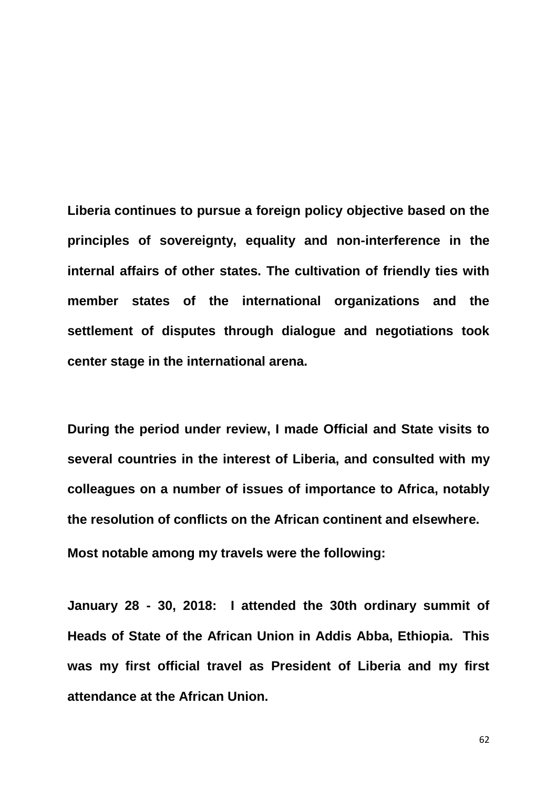**Liberia continues to pursue a foreign policy objective based on the principles of sovereignty, equality and non-interference in the internal affairs of other states. The cultivation of friendly ties with member states of the international organizations and the settlement of disputes through dialogue and negotiations took center stage in the international arena.** 

**During the period under review, I made Official and State visits to several countries in the interest of Liberia, and consulted with my colleagues on a number of issues of importance to Africa, notably the resolution of conflicts on the African continent and elsewhere. Most notable among my travels were the following:**

**January 28 - 30, 2018: I attended the 30th ordinary summit of Heads of State of the African Union in Addis Abba, Ethiopia. This was my first official travel as President of Liberia and my first attendance at the African Union.**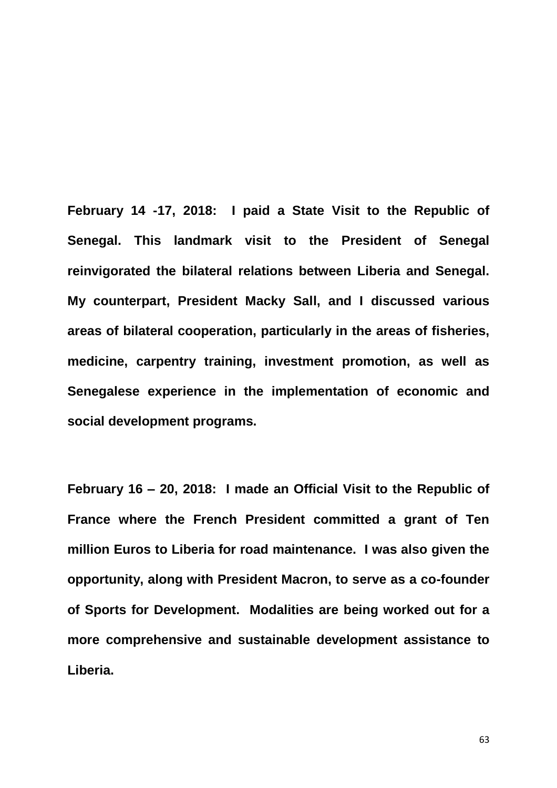**February 14 -17, 2018: I paid a State Visit to the Republic of Senegal. This landmark visit to the President of Senegal reinvigorated the bilateral relations between Liberia and Senegal. My counterpart, President Macky Sall, and I discussed various areas of bilateral cooperation, particularly in the areas of fisheries, medicine, carpentry training, investment promotion, as well as Senegalese experience in the implementation of economic and social development programs.**

**February 16 – 20, 2018: I made an Official Visit to the Republic of France where the French President committed a grant of Ten million Euros to Liberia for road maintenance. I was also given the opportunity, along with President Macron, to serve as a co-founder of Sports for Development. Modalities are being worked out for a more comprehensive and sustainable development assistance to Liberia.**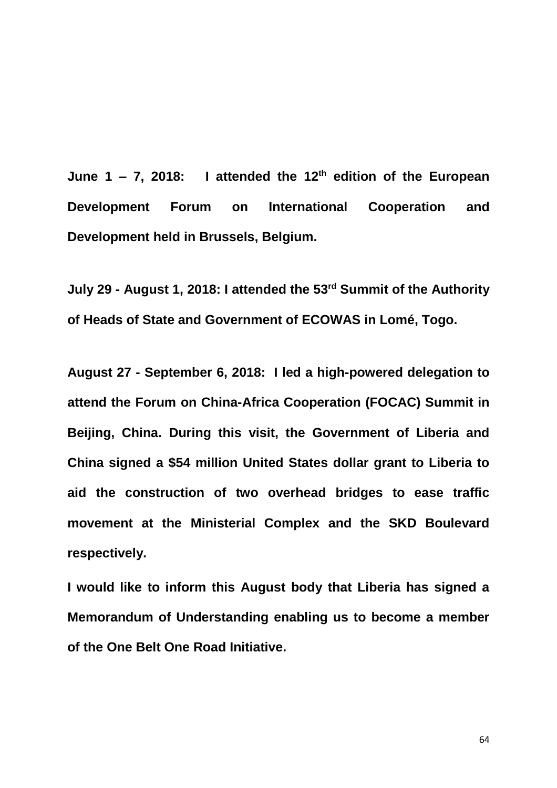**June 1 – 7, 2018: I attended the 12th edition of the European Development Forum on International Cooperation and Development held in Brussels, Belgium.**

**July 29 - August 1, 2018: I attended the 53rd Summit of the Authority of Heads of State and Government of ECOWAS in Lomé, Togo.**

**August 27 - September 6, 2018: I led a high-powered delegation to attend the Forum on China-Africa Cooperation (FOCAC) Summit in Beijing, China. During this visit, the Government of Liberia and China signed a \$54 million United States dollar grant to Liberia to aid the construction of two overhead bridges to ease traffic movement at the Ministerial Complex and the SKD Boulevard respectively.**

**I would like to inform this August body that Liberia has signed a Memorandum of Understanding enabling us to become a member of the One Belt One Road Initiative.**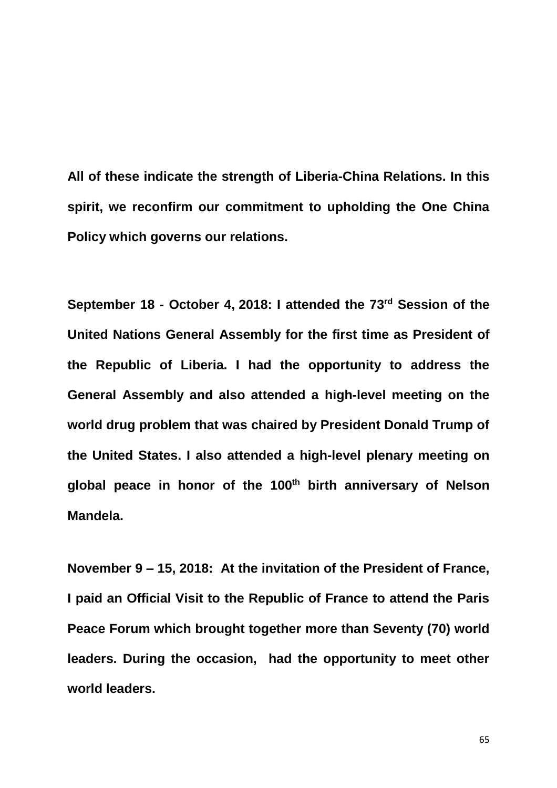**All of these indicate the strength of Liberia-China Relations. In this spirit, we reconfirm our commitment to upholding the One China Policy which governs our relations.** 

**September 18 - October 4, 2018: I attended the 73rd Session of the United Nations General Assembly for the first time as President of the Republic of Liberia. I had the opportunity to address the General Assembly and also attended a high-level meeting on the world drug problem that was chaired by President Donald Trump of the United States. I also attended a high-level plenary meeting on global peace in honor of the 100th birth anniversary of Nelson Mandela.**

**November 9 – 15, 2018: At the invitation of the President of France, I paid an Official Visit to the Republic of France to attend the Paris Peace Forum which brought together more than Seventy (70) world leaders. During the occasion, had the opportunity to meet other world leaders.**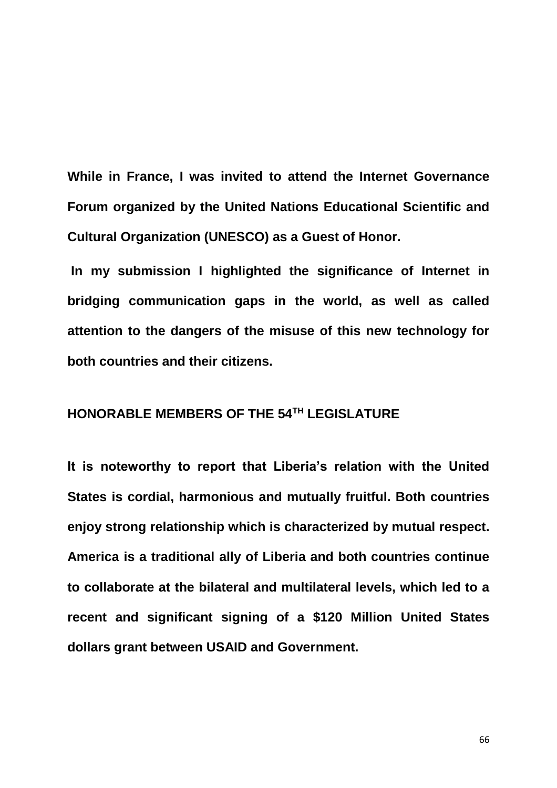**While in France, I was invited to attend the Internet Governance Forum organized by the United Nations Educational Scientific and Cultural Organization (UNESCO) as a Guest of Honor.** 

**In my submission I highlighted the significance of Internet in bridging communication gaps in the world, as well as called attention to the dangers of the misuse of this new technology for both countries and their citizens.**

## **HONORABLE MEMBERS OF THE 54TH LEGISLATURE**

**It is noteworthy to report that Liberia's relation with the United States is cordial, harmonious and mutually fruitful. Both countries enjoy strong relationship which is characterized by mutual respect. America is a traditional ally of Liberia and both countries continue to collaborate at the bilateral and multilateral levels, which led to a recent and significant signing of a \$120 Million United States dollars grant between USAID and Government.**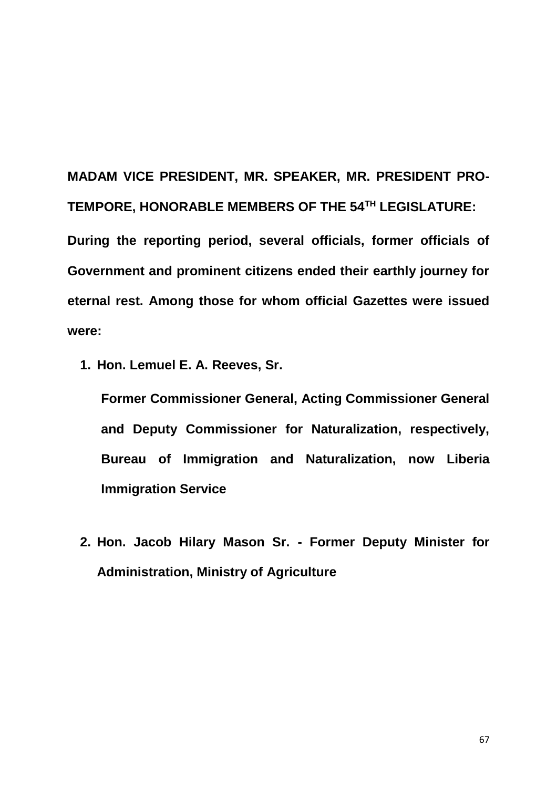**MADAM VICE PRESIDENT, MR. SPEAKER, MR. PRESIDENT PRO-TEMPORE, HONORABLE MEMBERS OF THE 54TH LEGISLATURE: During the reporting period, several officials, former officials of Government and prominent citizens ended their earthly journey for eternal rest. Among those for whom official Gazettes were issued were:** 

**1. Hon. Lemuel E. A. Reeves, Sr.**

**Former Commissioner General, Acting Commissioner General and Deputy Commissioner for Naturalization, respectively, Bureau of Immigration and Naturalization, now Liberia Immigration Service**

**2. Hon. Jacob Hilary Mason Sr. - Former Deputy Minister for Administration, Ministry of Agriculture**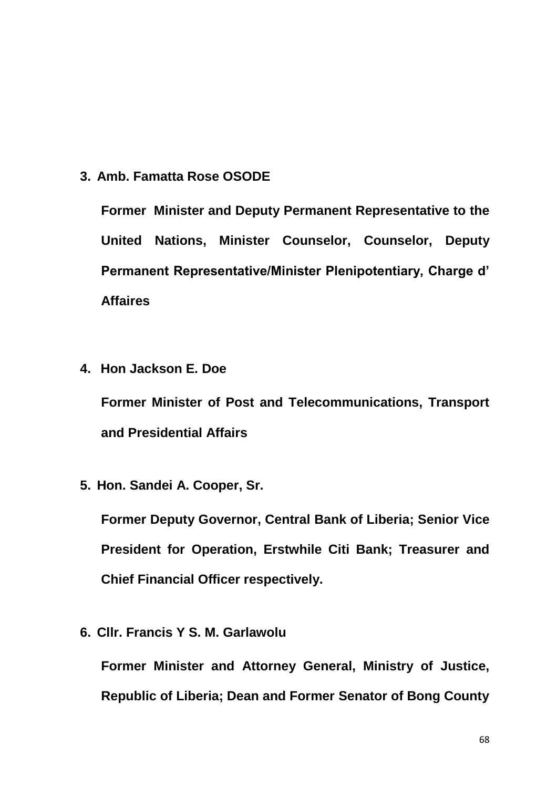#### **3. Amb. Famatta Rose OSODE**

**Former Minister and Deputy Permanent Representative to the United Nations, Minister Counselor, Counselor, Deputy Permanent Representative/Minister Plenipotentiary, Charge d' Affaires** 

**4. Hon Jackson E. Doe**

**Former Minister of Post and Telecommunications, Transport and Presidential Affairs** 

**5. Hon. Sandei A. Cooper, Sr.** 

**Former Deputy Governor, Central Bank of Liberia; Senior Vice President for Operation, Erstwhile Citi Bank; Treasurer and Chief Financial Officer respectively.**

**6. Cllr. Francis Y S. M. Garlawolu**

**Former Minister and Attorney General, Ministry of Justice, Republic of Liberia; Dean and Former Senator of Bong County**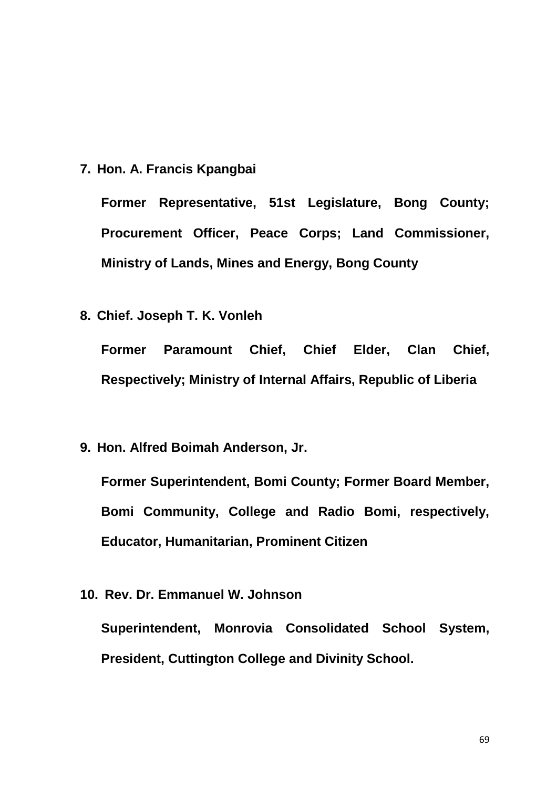**7. Hon. A. Francis Kpangbai** 

**Former Representative, 51st Legislature, Bong County; Procurement Officer, Peace Corps; Land Commissioner, Ministry of Lands, Mines and Energy, Bong County** 

**8. Chief. Joseph T. K. Vonleh**

**Former Paramount Chief, Chief Elder, Clan Chief, Respectively; Ministry of Internal Affairs, Republic of Liberia** 

**9. Hon. Alfred Boimah Anderson, Jr.**

**Former Superintendent, Bomi County; Former Board Member, Bomi Community, College and Radio Bomi, respectively, Educator, Humanitarian, Prominent Citizen** 

**10. Rev. Dr. Emmanuel W. Johnson**

**Superintendent, Monrovia Consolidated School System, President, Cuttington College and Divinity School.**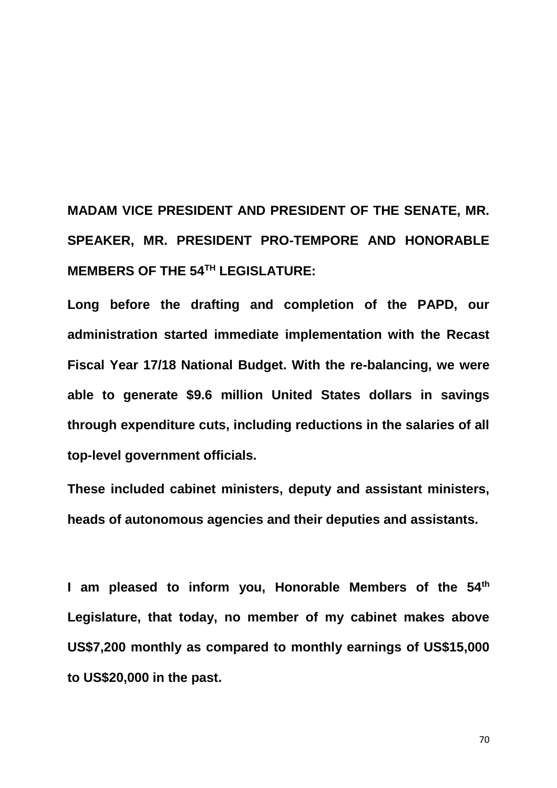**MADAM VICE PRESIDENT AND PRESIDENT OF THE SENATE, MR. SPEAKER, MR. PRESIDENT PRO-TEMPORE AND HONORABLE MEMBERS OF THE 54TH LEGISLATURE:**

**Long before the drafting and completion of the PAPD, our administration started immediate implementation with the Recast Fiscal Year 17/18 National Budget. With the re-balancing, we were able to generate \$9.6 million United States dollars in savings through expenditure cuts, including reductions in the salaries of all top-level government officials.** 

**These included cabinet ministers, deputy and assistant ministers, heads of autonomous agencies and their deputies and assistants.** 

**I am pleased to inform you, Honorable Members of the 54th Legislature, that today, no member of my cabinet makes above US\$7,200 monthly as compared to monthly earnings of US\$15,000 to US\$20,000 in the past.**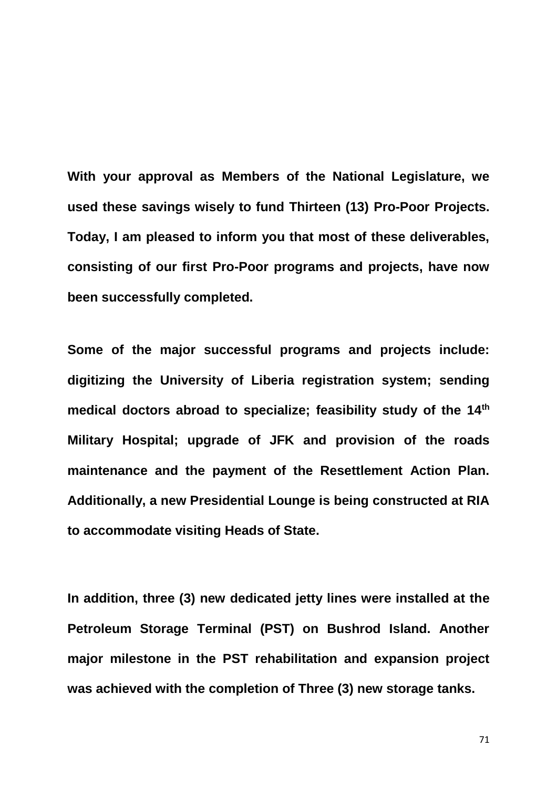**With your approval as Members of the National Legislature, we used these savings wisely to fund Thirteen (13) Pro-Poor Projects. Today, I am pleased to inform you that most of these deliverables, consisting of our first Pro-Poor programs and projects, have now been successfully completed.** 

**Some of the major successful programs and projects include: digitizing the University of Liberia registration system; sending medical doctors abroad to specialize; feasibility study of the 14th Military Hospital; upgrade of JFK and provision of the roads maintenance and the payment of the Resettlement Action Plan. Additionally, a new Presidential Lounge is being constructed at RIA to accommodate visiting Heads of State.**

**In addition, three (3) new dedicated jetty lines were installed at the Petroleum Storage Terminal (PST) on Bushrod Island. Another major milestone in the PST rehabilitation and expansion project was achieved with the completion of Three (3) new storage tanks.**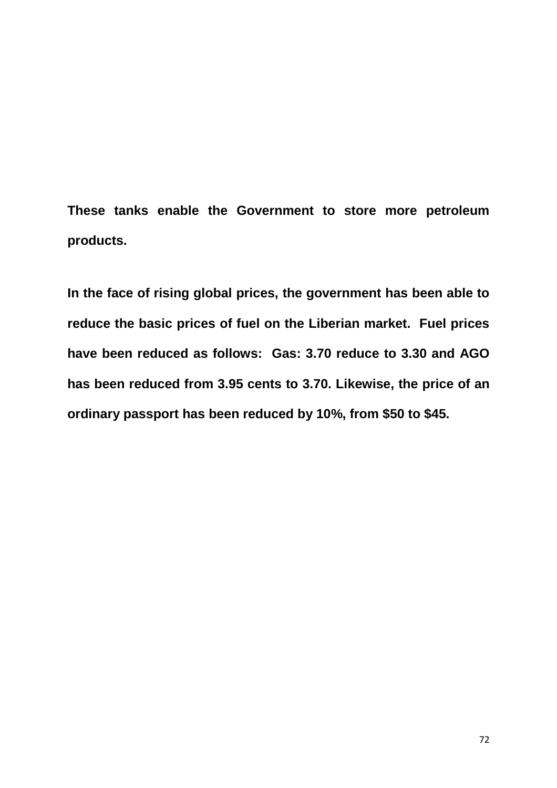**These tanks enable the Government to store more petroleum products.** 

**In the face of rising global prices, the government has been able to reduce the basic prices of fuel on the Liberian market. Fuel prices have been reduced as follows: Gas: 3.70 reduce to 3.30 and AGO has been reduced from 3.95 cents to 3.70. Likewise, the price of an ordinary passport has been reduced by 10%, from \$50 to \$45.**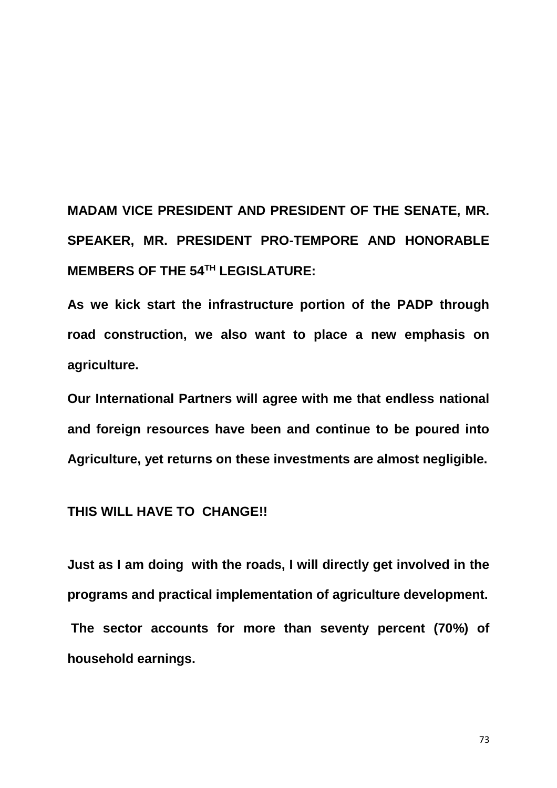**MADAM VICE PRESIDENT AND PRESIDENT OF THE SENATE, MR. SPEAKER, MR. PRESIDENT PRO-TEMPORE AND HONORABLE MEMBERS OF THE 54TH LEGISLATURE:**

**As we kick start the infrastructure portion of the PADP through road construction, we also want to place a new emphasis on agriculture.**

**Our International Partners will agree with me that endless national and foreign resources have been and continue to be poured into Agriculture, yet returns on these investments are almost negligible.** 

## **THIS WILL HAVE TO CHANGE!!**

**Just as I am doing with the roads, I will directly get involved in the programs and practical implementation of agriculture development.**

**The sector accounts for more than seventy percent (70%) of household earnings.**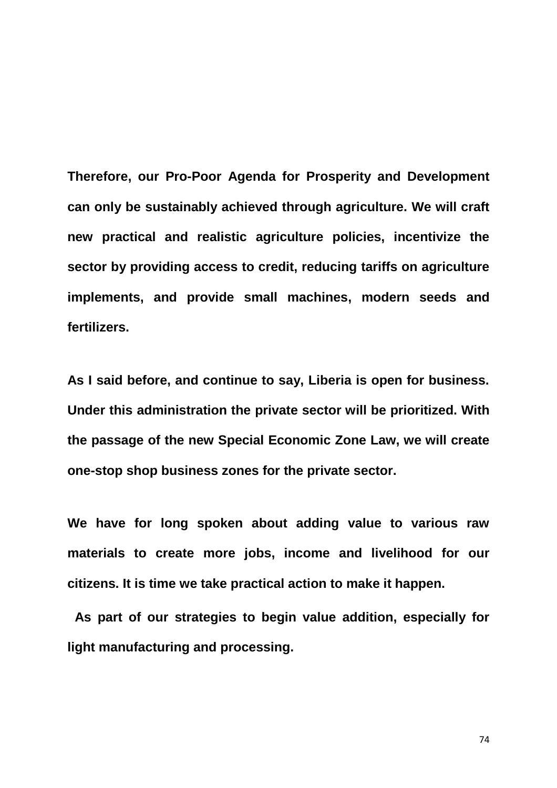**Therefore, our Pro-Poor Agenda for Prosperity and Development can only be sustainably achieved through agriculture. We will craft new practical and realistic agriculture policies, incentivize the sector by providing access to credit, reducing tariffs on agriculture implements, and provide small machines, modern seeds and fertilizers.**

**As I said before, and continue to say, Liberia is open for business. Under this administration the private sector will be prioritized. With the passage of the new Special Economic Zone Law, we will create one-stop shop business zones for the private sector.** 

**We have for long spoken about adding value to various raw materials to create more jobs, income and livelihood for our citizens. It is time we take practical action to make it happen.**

**As part of our strategies to begin value addition, especially for light manufacturing and processing.**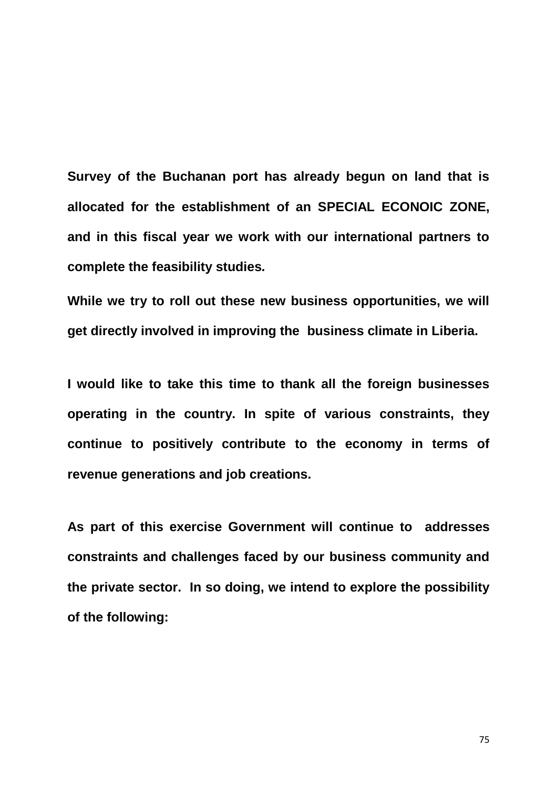**Survey of the Buchanan port has already begun on land that is allocated for the establishment of an SPECIAL ECONOIC ZONE, and in this fiscal year we work with our international partners to complete the feasibility studies***.*

**While we try to roll out these new business opportunities, we will get directly involved in improving the business climate in Liberia.**

**I would like to take this time to thank all the foreign businesses operating in the country. In spite of various constraints, they continue to positively contribute to the economy in terms of revenue generations and job creations.** 

**As part of this exercise Government will continue to addresses constraints and challenges faced by our business community and the private sector. In so doing, we intend to explore the possibility of the following:**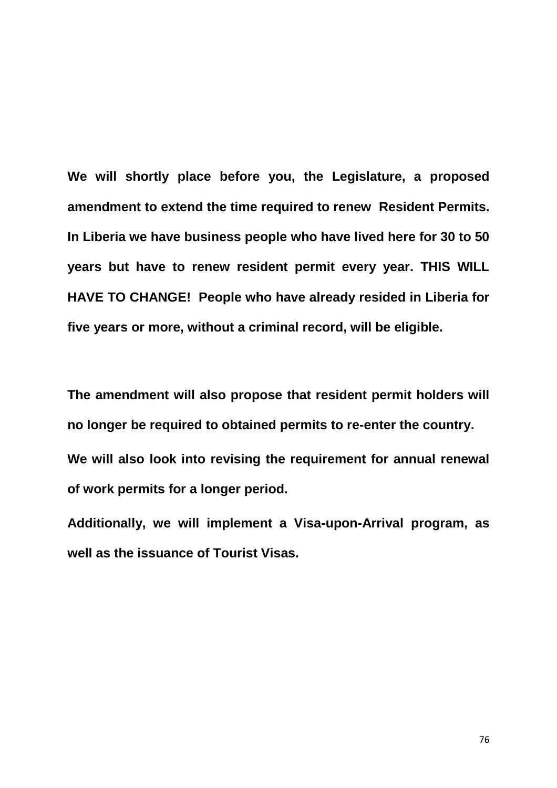**We will shortly place before you, the Legislature, a proposed amendment to extend the time required to renew Resident Permits. In Liberia we have business people who have lived here for 30 to 50 years but have to renew resident permit every year. THIS WILL HAVE TO CHANGE! People who have already resided in Liberia for five years or more, without a criminal record, will be eligible.** 

**The amendment will also propose that resident permit holders will no longer be required to obtained permits to re-enter the country. We will also look into revising the requirement for annual renewal of work permits for a longer period.**

**Additionally, we will implement a Visa-upon-Arrival program, as well as the issuance of Tourist Visas.**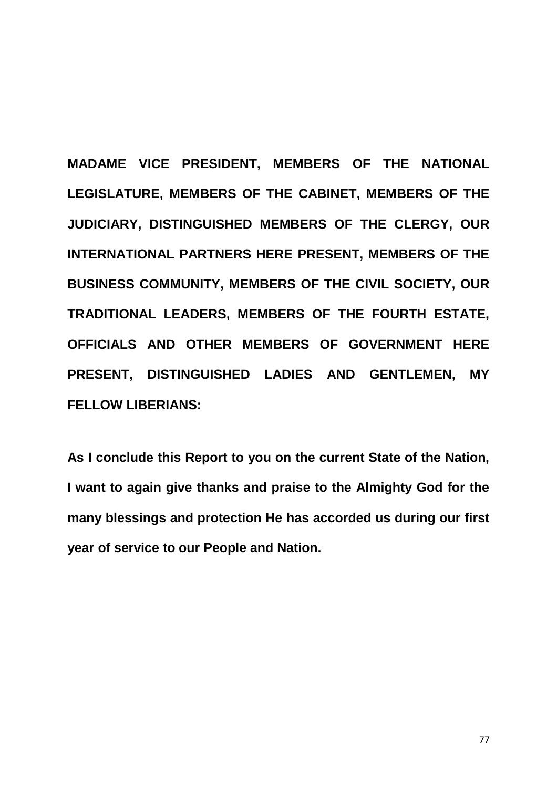**MADAME VICE PRESIDENT, MEMBERS OF THE NATIONAL LEGISLATURE, MEMBERS OF THE CABINET, MEMBERS OF THE JUDICIARY, DISTINGUISHED MEMBERS OF THE CLERGY, OUR INTERNATIONAL PARTNERS HERE PRESENT, MEMBERS OF THE BUSINESS COMMUNITY, MEMBERS OF THE CIVIL SOCIETY, OUR TRADITIONAL LEADERS, MEMBERS OF THE FOURTH ESTATE, OFFICIALS AND OTHER MEMBERS OF GOVERNMENT HERE PRESENT, DISTINGUISHED LADIES AND GENTLEMEN, MY FELLOW LIBERIANS:**

**As I conclude this Report to you on the current State of the Nation, I want to again give thanks and praise to the Almighty God for the many blessings and protection He has accorded us during our first year of service to our People and Nation.**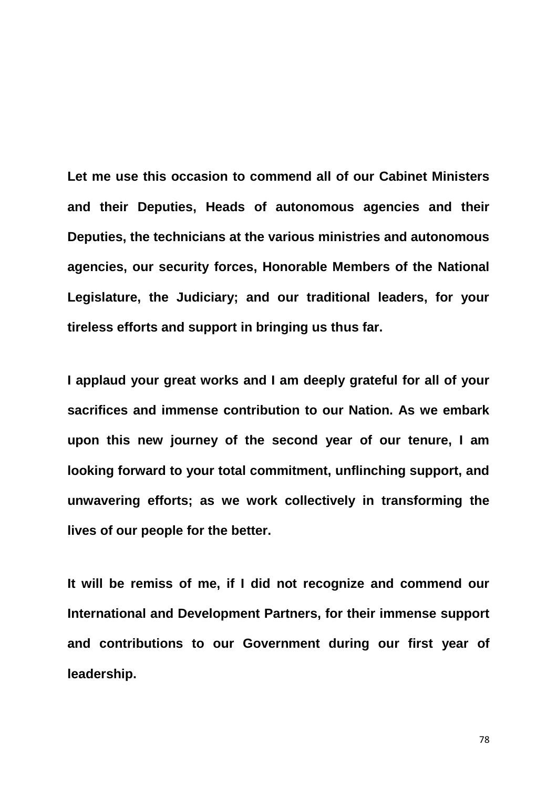**Let me use this occasion to commend all of our Cabinet Ministers and their Deputies, Heads of autonomous agencies and their Deputies, the technicians at the various ministries and autonomous agencies, our security forces, Honorable Members of the National Legislature, the Judiciary; and our traditional leaders, for your tireless efforts and support in bringing us thus far.** 

**I applaud your great works and I am deeply grateful for all of your sacrifices and immense contribution to our Nation. As we embark upon this new journey of the second year of our tenure, I am looking forward to your total commitment, unflinching support, and unwavering efforts; as we work collectively in transforming the lives of our people for the better.**

**It will be remiss of me, if I did not recognize and commend our International and Development Partners, for their immense support and contributions to our Government during our first year of leadership.**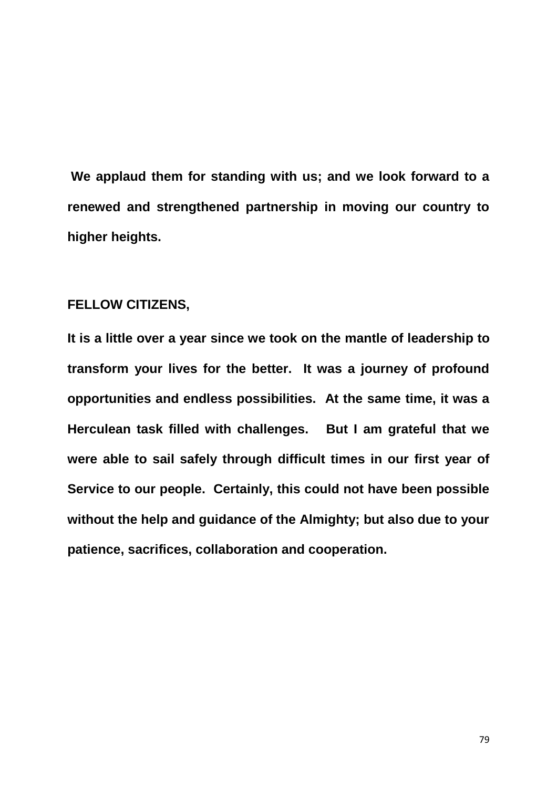**We applaud them for standing with us; and we look forward to a renewed and strengthened partnership in moving our country to higher heights.**

## **FELLOW CITIZENS,**

**It is a little over a year since we took on the mantle of leadership to transform your lives for the better. It was a journey of profound opportunities and endless possibilities. At the same time, it was a Herculean task filled with challenges. But I am grateful that we were able to sail safely through difficult times in our first year of Service to our people. Certainly, this could not have been possible without the help and guidance of the Almighty; but also due to your patience, sacrifices, collaboration and cooperation.**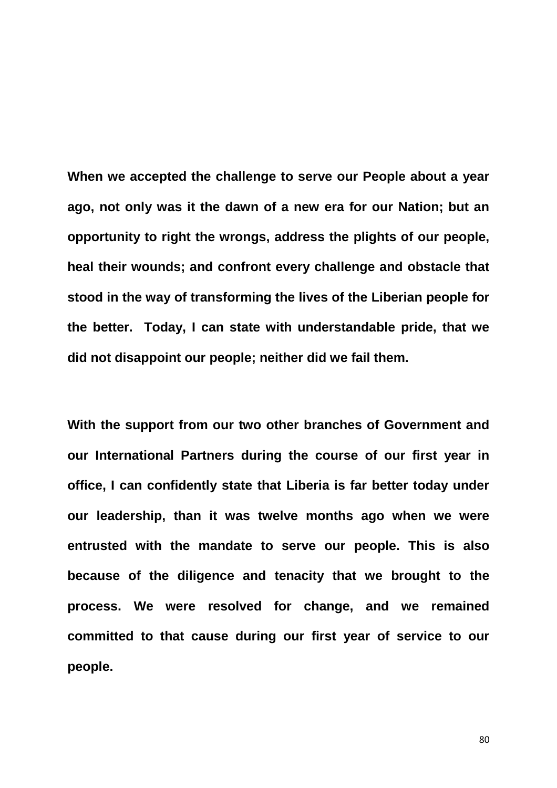**When we accepted the challenge to serve our People about a year ago, not only was it the dawn of a new era for our Nation; but an opportunity to right the wrongs, address the plights of our people, heal their wounds; and confront every challenge and obstacle that stood in the way of transforming the lives of the Liberian people for the better. Today, I can state with understandable pride, that we did not disappoint our people; neither did we fail them.**

**With the support from our two other branches of Government and our International Partners during the course of our first year in office, I can confidently state that Liberia is far better today under our leadership, than it was twelve months ago when we were entrusted with the mandate to serve our people. This is also because of the diligence and tenacity that we brought to the process. We were resolved for change, and we remained committed to that cause during our first year of service to our people.**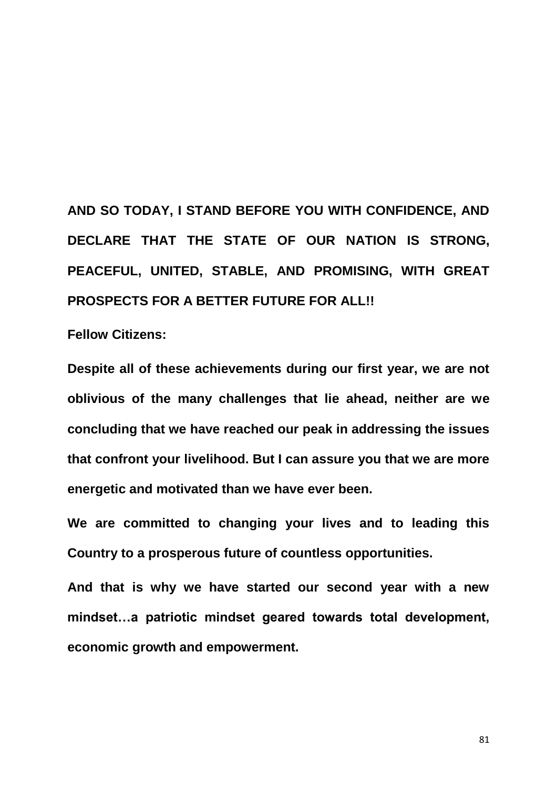**AND SO TODAY, I STAND BEFORE YOU WITH CONFIDENCE, AND DECLARE THAT THE STATE OF OUR NATION IS STRONG, PEACEFUL, UNITED, STABLE, AND PROMISING, WITH GREAT PROSPECTS FOR A BETTER FUTURE FOR ALL!!**

**Fellow Citizens:**

**Despite all of these achievements during our first year, we are not oblivious of the many challenges that lie ahead, neither are we concluding that we have reached our peak in addressing the issues that confront your livelihood. But I can assure you that we are more energetic and motivated than we have ever been.** 

**We are committed to changing your lives and to leading this Country to a prosperous future of countless opportunities.**

**And that is why we have started our second year with a new mindset…a patriotic mindset geared towards total development, economic growth and empowerment.**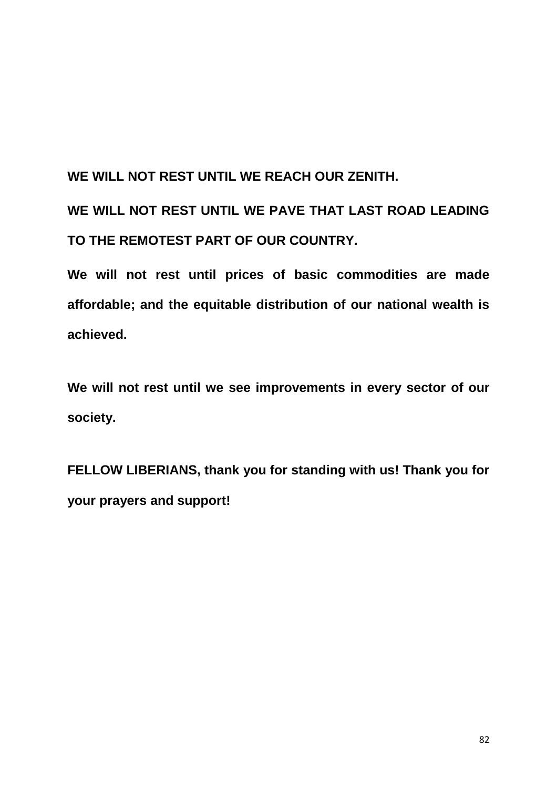**WE WILL NOT REST UNTIL WE REACH OUR ZENITH.** 

**WE WILL NOT REST UNTIL WE PAVE THAT LAST ROAD LEADING TO THE REMOTEST PART OF OUR COUNTRY.** 

**We will not rest until prices of basic commodities are made affordable; and the equitable distribution of our national wealth is achieved.** 

**We will not rest until we see improvements in every sector of our society.** 

**FELLOW LIBERIANS, thank you for standing with us! Thank you for your prayers and support!**